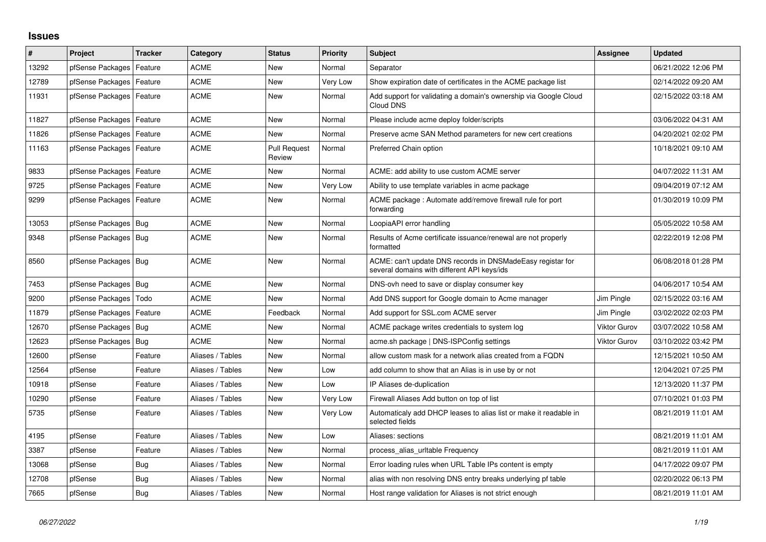## **Issues**

| #     | Project                    | <b>Tracker</b> | Category         | <b>Status</b>                 | <b>Priority</b> | <b>Subject</b>                                                                                            | Assignee            | <b>Updated</b>      |
|-------|----------------------------|----------------|------------------|-------------------------------|-----------------|-----------------------------------------------------------------------------------------------------------|---------------------|---------------------|
| 13292 | pfSense Packages           | Feature        | ACME             | New                           | Normal          | Separator                                                                                                 |                     | 06/21/2022 12:06 PM |
| 12789 | pfSense Packages           | Feature        | <b>ACME</b>      | <b>New</b>                    | Very Low        | Show expiration date of certificates in the ACME package list                                             |                     | 02/14/2022 09:20 AM |
| 11931 | pfSense Packages           | Feature        | ACME             | New                           | Normal          | Add support for validating a domain's ownership via Google Cloud<br>Cloud DNS                             |                     | 02/15/2022 03:18 AM |
| 11827 | pfSense Packages   Feature |                | <b>ACME</b>      | <b>New</b>                    | Normal          | Please include acme deploy folder/scripts                                                                 |                     | 03/06/2022 04:31 AM |
| 11826 | pfSense Packages           | Feature        | <b>ACME</b>      | New                           | Normal          | Preserve acme SAN Method parameters for new cert creations                                                |                     | 04/20/2021 02:02 PM |
| 11163 | pfSense Packages   Feature |                | <b>ACME</b>      | <b>Pull Request</b><br>Review | Normal          | Preferred Chain option                                                                                    |                     | 10/18/2021 09:10 AM |
| 9833  | pfSense Packages   Feature |                | <b>ACME</b>      | New                           | Normal          | ACME: add ability to use custom ACME server                                                               |                     | 04/07/2022 11:31 AM |
| 9725  | pfSense Packages   Feature |                | <b>ACME</b>      | New                           | Very Low        | Ability to use template variables in acme package                                                         |                     | 09/04/2019 07:12 AM |
| 9299  | pfSense Packages   Feature |                | ACME             | New                           | Normal          | ACME package : Automate add/remove firewall rule for port<br>forwarding                                   |                     | 01/30/2019 10:09 PM |
| 13053 | pfSense Packages   Bug     |                | <b>ACME</b>      | New                           | Normal          | LoopiaAPI error handling                                                                                  |                     | 05/05/2022 10:58 AM |
| 9348  | pfSense Packages   Bug     |                | <b>ACME</b>      | New                           | Normal          | Results of Acme certificate issuance/renewal are not properly<br>formatted                                |                     | 02/22/2019 12:08 PM |
| 8560  | pfSense Packages   Bug     |                | <b>ACME</b>      | <b>New</b>                    | Normal          | ACME: can't update DNS records in DNSMadeEasy registar for<br>several domains with different API keys/ids |                     | 06/08/2018 01:28 PM |
| 7453  | pfSense Packages   Bug     |                | <b>ACME</b>      | New                           | Normal          | DNS-ovh need to save or display consumer key                                                              |                     | 04/06/2017 10:54 AM |
| 9200  | pfSense Packages           | Todo           | <b>ACME</b>      | New                           | Normal          | Add DNS support for Google domain to Acme manager                                                         | Jim Pingle          | 02/15/2022 03:16 AM |
| 11879 | pfSense Packages           | Feature        | <b>ACME</b>      | Feedback                      | Normal          | Add support for SSL.com ACME server                                                                       | Jim Pingle          | 03/02/2022 02:03 PM |
| 12670 | pfSense Packages           | Bug            | <b>ACME</b>      | New                           | Normal          | ACME package writes credentials to system log                                                             | <b>Viktor Gurov</b> | 03/07/2022 10:58 AM |
| 12623 | pfSense Packages   Bug     |                | <b>ACME</b>      | New                           | Normal          | acme.sh package   DNS-ISPConfig settings                                                                  | Viktor Gurov        | 03/10/2022 03:42 PM |
| 12600 | pfSense                    | Feature        | Aliases / Tables | New                           | Normal          | allow custom mask for a network alias created from a FQDN                                                 |                     | 12/15/2021 10:50 AM |
| 12564 | pfSense                    | Feature        | Aliases / Tables | New                           | Low             | add column to show that an Alias is in use by or not                                                      |                     | 12/04/2021 07:25 PM |
| 10918 | pfSense                    | Feature        | Aliases / Tables | New                           | Low             | IP Aliases de-duplication                                                                                 |                     | 12/13/2020 11:37 PM |
| 10290 | pfSense                    | Feature        | Aliases / Tables | New                           | Very Low        | Firewall Aliases Add button on top of list                                                                |                     | 07/10/2021 01:03 PM |
| 5735  | pfSense                    | Feature        | Aliases / Tables | New                           | Very Low        | Automaticaly add DHCP leases to alias list or make it readable in<br>selected fields                      |                     | 08/21/2019 11:01 AM |
| 4195  | pfSense                    | Feature        | Aliases / Tables | <b>New</b>                    | Low             | Aliases: sections                                                                                         |                     | 08/21/2019 11:01 AM |
| 3387  | pfSense                    | Feature        | Aliases / Tables | New                           | Normal          | process alias urltable Frequency                                                                          |                     | 08/21/2019 11:01 AM |
| 13068 | pfSense                    | Bug            | Aliases / Tables | <b>New</b>                    | Normal          | Error loading rules when URL Table IPs content is empty                                                   |                     | 04/17/2022 09:07 PM |
| 12708 | pfSense                    | Bug            | Aliases / Tables | New                           | Normal          | alias with non resolving DNS entry breaks underlying pf table                                             |                     | 02/20/2022 06:13 PM |
| 7665  | pfSense                    | <b>Bug</b>     | Aliases / Tables | New                           | Normal          | Host range validation for Aliases is not strict enough                                                    |                     | 08/21/2019 11:01 AM |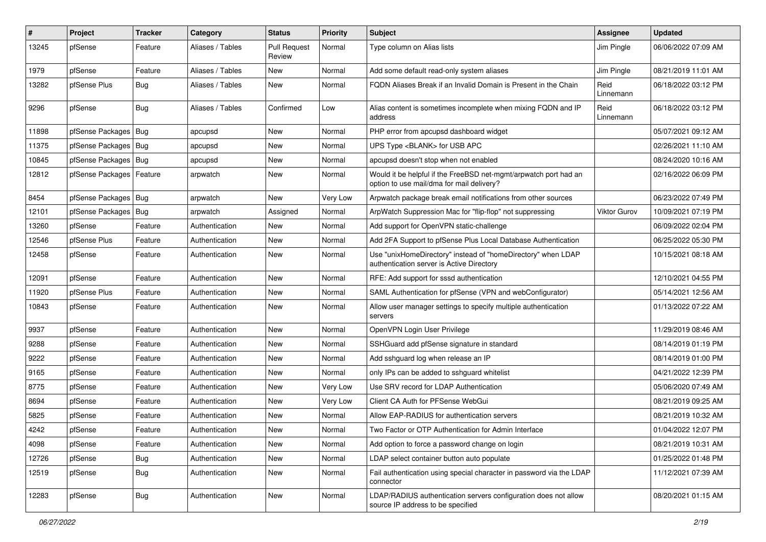| $\vert$ # | Project                | <b>Tracker</b> | Category         | <b>Status</b>                 | <b>Priority</b> | <b>Subject</b>                                                                                                | <b>Assignee</b>     | <b>Updated</b>      |
|-----------|------------------------|----------------|------------------|-------------------------------|-----------------|---------------------------------------------------------------------------------------------------------------|---------------------|---------------------|
| 13245     | pfSense                | Feature        | Aliases / Tables | <b>Pull Request</b><br>Review | Normal          | Type column on Alias lists                                                                                    | Jim Pingle          | 06/06/2022 07:09 AM |
| 1979      | pfSense                | Feature        | Aliases / Tables | New                           | Normal          | Add some default read-only system aliases                                                                     | Jim Pingle          | 08/21/2019 11:01 AM |
| 13282     | pfSense Plus           | Bug            | Aliases / Tables | New                           | Normal          | FQDN Aliases Break if an Invalid Domain is Present in the Chain                                               | Reid<br>Linnemann   | 06/18/2022 03:12 PM |
| 9296      | pfSense                | Bug            | Aliases / Tables | Confirmed                     | Low             | Alias content is sometimes incomplete when mixing FQDN and IP<br>address                                      | Reid<br>Linnemann   | 06/18/2022 03:12 PM |
| 11898     | pfSense Packages       | Bug            | apcupsd          | <b>New</b>                    | Normal          | PHP error from apcupsd dashboard widget                                                                       |                     | 05/07/2021 09:12 AM |
| 11375     | pfSense Packages   Bug |                | apcupsd          | <b>New</b>                    | Normal          | UPS Type <blank> for USB APC</blank>                                                                          |                     | 02/26/2021 11:10 AM |
| 10845     | pfSense Packages   Bug |                | apcupsd          | New                           | Normal          | apcupsd doesn't stop when not enabled                                                                         |                     | 08/24/2020 10:16 AM |
| 12812     | pfSense Packages       | Feature        | arpwatch         | <b>New</b>                    | Normal          | Would it be helpful if the FreeBSD net-mgmt/arpwatch port had an<br>option to use mail/dma for mail delivery? |                     | 02/16/2022 06:09 PM |
| 8454      | pfSense Packages   Bug |                | arpwatch         | <b>New</b>                    | Very Low        | Arpwatch package break email notifications from other sources                                                 |                     | 06/23/2022 07:49 PM |
| 12101     | pfSense Packages       | Bug            | arpwatch         | Assigned                      | Normal          | ArpWatch Suppression Mac for "flip-flop" not suppressing                                                      | <b>Viktor Gurov</b> | 10/09/2021 07:19 PM |
| 13260     | pfSense                | Feature        | Authentication   | New                           | Normal          | Add support for OpenVPN static-challenge                                                                      |                     | 06/09/2022 02:04 PM |
| 12546     | pfSense Plus           | Feature        | Authentication   | New                           | Normal          | Add 2FA Support to pfSense Plus Local Database Authentication                                                 |                     | 06/25/2022 05:30 PM |
| 12458     | pfSense                | Feature        | Authentication   | <b>New</b>                    | Normal          | Use "unixHomeDirectory" instead of "homeDirectory" when LDAP<br>authentication server is Active Directory     |                     | 10/15/2021 08:18 AM |
| 12091     | pfSense                | Feature        | Authentication   | New                           | Normal          | RFE: Add support for sssd authentication                                                                      |                     | 12/10/2021 04:55 PM |
| 11920     | pfSense Plus           | Feature        | Authentication   | New                           | Normal          | SAML Authentication for pfSense (VPN and webConfigurator)                                                     |                     | 05/14/2021 12:56 AM |
| 10843     | pfSense                | Feature        | Authentication   | <b>New</b>                    | Normal          | Allow user manager settings to specify multiple authentication<br>servers                                     |                     | 01/13/2022 07:22 AM |
| 9937      | pfSense                | Feature        | Authentication   | <b>New</b>                    | Normal          | OpenVPN Login User Privilege                                                                                  |                     | 11/29/2019 08:46 AM |
| 9288      | pfSense                | Feature        | Authentication   | New                           | Normal          | SSHGuard add pfSense signature in standard                                                                    |                     | 08/14/2019 01:19 PM |
| 9222      | pfSense                | Feature        | Authentication   | New                           | Normal          | Add sshguard log when release an IP                                                                           |                     | 08/14/2019 01:00 PM |
| 9165      | pfSense                | Feature        | Authentication   | <b>New</b>                    | Normal          | only IPs can be added to sshguard whitelist                                                                   |                     | 04/21/2022 12:39 PM |
| 8775      | pfSense                | Feature        | Authentication   | New                           | Very Low        | Use SRV record for LDAP Authentication                                                                        |                     | 05/06/2020 07:49 AM |
| 8694      | pfSense                | Feature        | Authentication   | New                           | Very Low        | Client CA Auth for PFSense WebGui                                                                             |                     | 08/21/2019 09:25 AM |
| 5825      | pfSense                | Feature        | Authentication   | <b>New</b>                    | Normal          | Allow EAP-RADIUS for authentication servers                                                                   |                     | 08/21/2019 10:32 AM |
| 4242      | pfSense                | Feature        | Authentication   | New                           | Normal          | Two Factor or OTP Authentication for Admin Interface                                                          |                     | 01/04/2022 12:07 PM |
| 4098      | pfSense                | Feature        | Authentication   | New                           | Normal          | Add option to force a password change on login                                                                |                     | 08/21/2019 10:31 AM |
| 12726     | pfSense                | <b>Bug</b>     | Authentication   | New                           | Normal          | LDAP select container button auto populate                                                                    |                     | 01/25/2022 01:48 PM |
| 12519     | pfSense                | <b>Bug</b>     | Authentication   | New                           | Normal          | Fail authentication using special character in password via the LDAP<br>connector                             |                     | 11/12/2021 07:39 AM |
| 12283     | pfSense                | Bug            | Authentication   | New                           | Normal          | LDAP/RADIUS authentication servers configuration does not allow<br>source IP address to be specified          |                     | 08/20/2021 01:15 AM |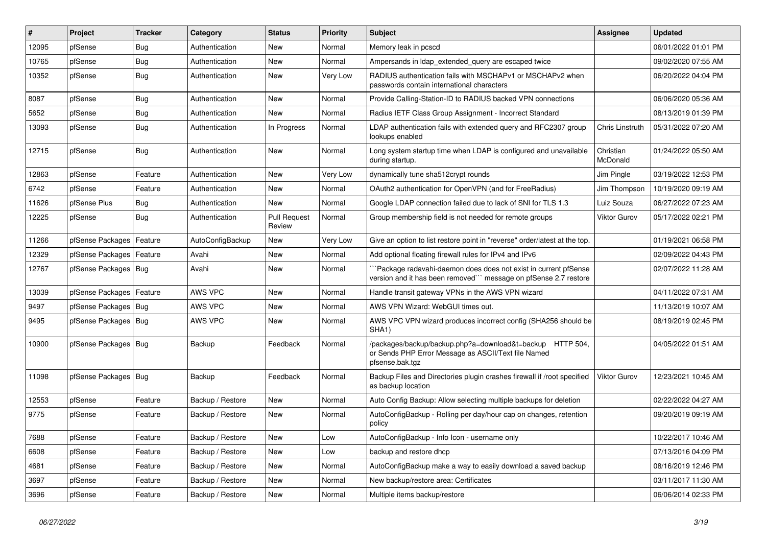| $\pmb{\sharp}$ | Project                    | <b>Tracker</b> | Category         | <b>Status</b>                 | <b>Priority</b> | Subject                                                                                                                              | Assignee              | <b>Updated</b>      |
|----------------|----------------------------|----------------|------------------|-------------------------------|-----------------|--------------------------------------------------------------------------------------------------------------------------------------|-----------------------|---------------------|
| 12095          | pfSense                    | Bug            | Authentication   | New                           | Normal          | Memory leak in pcscd                                                                                                                 |                       | 06/01/2022 01:01 PM |
| 10765          | pfSense                    | <b>Bug</b>     | Authentication   | New                           | Normal          | Ampersands in Idap_extended_query are escaped twice                                                                                  |                       | 09/02/2020 07:55 AM |
| 10352          | pfSense                    | Bug            | Authentication   | New                           | Very Low        | RADIUS authentication fails with MSCHAPv1 or MSCHAPv2 when<br>passwords contain international characters                             |                       | 06/20/2022 04:04 PM |
| 8087           | pfSense                    | Bug            | Authentication   | New                           | Normal          | Provide Calling-Station-ID to RADIUS backed VPN connections                                                                          |                       | 06/06/2020 05:36 AM |
| 5652           | pfSense                    | <b>Bug</b>     | Authentication   | New                           | Normal          | Radius IETF Class Group Assignment - Incorrect Standard                                                                              |                       | 08/13/2019 01:39 PM |
| 13093          | pfSense                    | Bug            | Authentication   | In Progress                   | Normal          | LDAP authentication fails with extended query and RFC2307 group<br>lookups enabled                                                   | Chris Linstruth       | 05/31/2022 07:20 AM |
| 12715          | pfSense                    | <b>Bug</b>     | Authentication   | New                           | Normal          | Long system startup time when LDAP is configured and unavailable<br>during startup.                                                  | Christian<br>McDonald | 01/24/2022 05:50 AM |
| 12863          | pfSense                    | Feature        | Authentication   | New                           | Very Low        | dynamically tune sha512crypt rounds                                                                                                  | Jim Pingle            | 03/19/2022 12:53 PM |
| 6742           | pfSense                    | Feature        | Authentication   | New                           | Normal          | OAuth2 authentication for OpenVPN (and for FreeRadius)                                                                               | Jim Thompson          | 10/19/2020 09:19 AM |
| 11626          | pfSense Plus               | Bug            | Authentication   | New                           | Normal          | Google LDAP connection failed due to lack of SNI for TLS 1.3                                                                         | Luiz Souza            | 06/27/2022 07:23 AM |
| 12225          | pfSense                    | <b>Bug</b>     | Authentication   | <b>Pull Request</b><br>Review | Normal          | Group membership field is not needed for remote groups                                                                               | Viktor Gurov          | 05/17/2022 02:21 PM |
| 11266          | pfSense Packages           | Feature        | AutoConfigBackup | New                           | Very Low        | Give an option to list restore point in "reverse" order/latest at the top.                                                           |                       | 01/19/2021 06:58 PM |
| 12329          | pfSense Packages           | Feature        | Avahi            | New                           | Normal          | Add optional floating firewall rules for IPv4 and IPv6                                                                               |                       | 02/09/2022 04:43 PM |
| 12767          | pfSense Packages   Bug     |                | Avahi            | New                           | Normal          | `Package radavahi-daemon does does not exist in current pfSense<br>version and it has been removed``` message on pfSense 2.7 restore |                       | 02/07/2022 11:28 AM |
| 13039          | pfSense Packages   Feature |                | AWS VPC          | New                           | Normal          | Handle transit gateway VPNs in the AWS VPN wizard                                                                                    |                       | 04/11/2022 07:31 AM |
| 9497           | pfSense Packages           | Bug            | AWS VPC          | New                           | Normal          | AWS VPN Wizard: WebGUI times out.                                                                                                    |                       | 11/13/2019 10:07 AM |
| 9495           | pfSense Packages           | Bug            | AWS VPC          | New                           | Normal          | AWS VPC VPN wizard produces incorrect config (SHA256 should be<br>SHA <sub>1</sub> )                                                 |                       | 08/19/2019 02:45 PM |
| 10900          | pfSense Packages   Bug     |                | Backup           | Feedback                      | Normal          | /packages/backup/backup.php?a=download&t=backup HTTP 504,<br>or Sends PHP Error Message as ASCII/Text file Named<br>pfsense.bak.tgz  |                       | 04/05/2022 01:51 AM |
| 11098          | pfSense Packages           | Bug            | Backup           | Feedback                      | Normal          | Backup Files and Directories plugin crashes firewall if /root specified<br>as backup location                                        | Viktor Gurov          | 12/23/2021 10:45 AM |
| 12553          | pfSense                    | Feature        | Backup / Restore | New                           | Normal          | Auto Config Backup: Allow selecting multiple backups for deletion                                                                    |                       | 02/22/2022 04:27 AM |
| 9775           | pfSense                    | Feature        | Backup / Restore | New                           | Normal          | AutoConfigBackup - Rolling per day/hour cap on changes, retention<br>policy                                                          |                       | 09/20/2019 09:19 AM |
| 7688           | pfSense                    | Feature        | Backup / Restore | New                           | Low             | AutoConfigBackup - Info Icon - username only                                                                                         |                       | 10/22/2017 10:46 AM |
| 6608           | pfSense                    | Feature        | Backup / Restore | New                           | Low             | backup and restore dhcp                                                                                                              |                       | 07/13/2016 04:09 PM |
| 4681           | pfSense                    | Feature        | Backup / Restore | New                           | Normal          | AutoConfigBackup make a way to easily download a saved backup                                                                        |                       | 08/16/2019 12:46 PM |
| 3697           | pfSense                    | Feature        | Backup / Restore | New                           | Normal          | New backup/restore area: Certificates                                                                                                |                       | 03/11/2017 11:30 AM |
| 3696           | pfSense                    | Feature        | Backup / Restore | New                           | Normal          | Multiple items backup/restore                                                                                                        |                       | 06/06/2014 02:33 PM |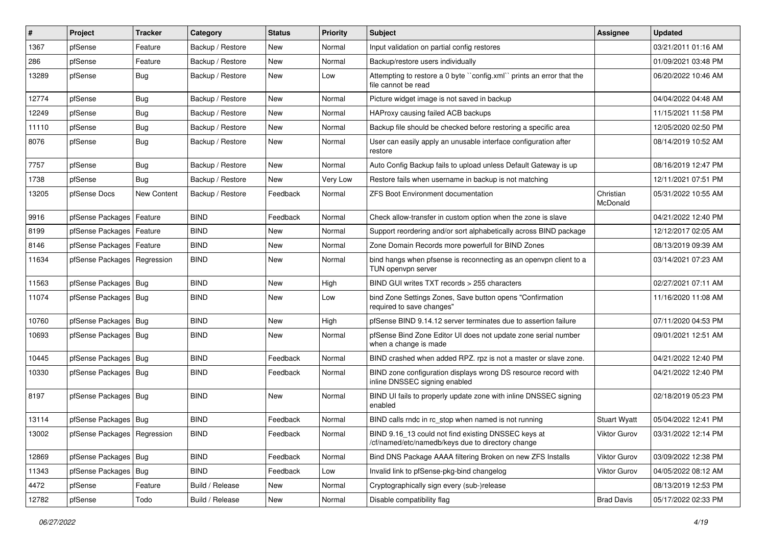| #     | Project                       | <b>Tracker</b> | Category         | <b>Status</b> | <b>Priority</b> | Subject                                                                                                  | <b>Assignee</b>       | <b>Updated</b>      |
|-------|-------------------------------|----------------|------------------|---------------|-----------------|----------------------------------------------------------------------------------------------------------|-----------------------|---------------------|
| 1367  | pfSense                       | Feature        | Backup / Restore | New           | Normal          | Input validation on partial config restores                                                              |                       | 03/21/2011 01:16 AM |
| 286   | pfSense                       | Feature        | Backup / Restore | New           | Normal          | Backup/restore users individually                                                                        |                       | 01/09/2021 03:48 PM |
| 13289 | pfSense                       | Bug            | Backup / Restore | New           | Low             | Attempting to restore a 0 byte "config.xml" prints an error that the<br>file cannot be read              |                       | 06/20/2022 10:46 AM |
| 12774 | pfSense                       | Bug            | Backup / Restore | New           | Normal          | Picture widget image is not saved in backup                                                              |                       | 04/04/2022 04:48 AM |
| 12249 | pfSense                       | Bug            | Backup / Restore | New           | Normal          | HAProxy causing failed ACB backups                                                                       |                       | 11/15/2021 11:58 PM |
| 11110 | pfSense                       | <b>Bug</b>     | Backup / Restore | New           | Normal          | Backup file should be checked before restoring a specific area                                           |                       | 12/05/2020 02:50 PM |
| 8076  | pfSense                       | Bug            | Backup / Restore | New           | Normal          | User can easily apply an unusable interface configuration after<br>restore                               |                       | 08/14/2019 10:52 AM |
| 7757  | pfSense                       | <b>Bug</b>     | Backup / Restore | New           | Normal          | Auto Config Backup fails to upload unless Default Gateway is up                                          |                       | 08/16/2019 12:47 PM |
| 1738  | pfSense                       | Bug            | Backup / Restore | New           | Very Low        | Restore fails when username in backup is not matching                                                    |                       | 12/11/2021 07:51 PM |
| 13205 | pfSense Docs                  | New Content    | Backup / Restore | Feedback      | Normal          | <b>ZFS Boot Environment documentation</b>                                                                | Christian<br>McDonald | 05/31/2022 10:55 AM |
| 9916  | pfSense Packages   Feature    |                | <b>BIND</b>      | Feedback      | Normal          | Check allow-transfer in custom option when the zone is slave                                             |                       | 04/21/2022 12:40 PM |
| 8199  | pfSense Packages   Feature    |                | <b>BIND</b>      | New           | Normal          | Support reordering and/or sort alphabetically across BIND package                                        |                       | 12/12/2017 02:05 AM |
| 8146  | pfSense Packages   Feature    |                | <b>BIND</b>      | New           | Normal          | Zone Domain Records more powerfull for BIND Zones                                                        |                       | 08/13/2019 09:39 AM |
| 11634 | pfSense Packages   Regression |                | <b>BIND</b>      | New           | Normal          | bind hangs when pfsense is reconnecting as an openvpn client to a<br>TUN openvpn server                  |                       | 03/14/2021 07:23 AM |
| 11563 | pfSense Packages   Bug        |                | <b>BIND</b>      | New           | High            | BIND GUI writes TXT records > 255 characters                                                             |                       | 02/27/2021 07:11 AM |
| 11074 | pfSense Packages   Bug        |                | <b>BIND</b>      | New           | Low             | bind Zone Settings Zones, Save button opens "Confirmation<br>required to save changes"                   |                       | 11/16/2020 11:08 AM |
| 10760 | pfSense Packages   Bug        |                | <b>BIND</b>      | New           | High            | pfSense BIND 9.14.12 server terminates due to assertion failure                                          |                       | 07/11/2020 04:53 PM |
| 10693 | pfSense Packages   Bug        |                | <b>BIND</b>      | New           | Normal          | pfSense Bind Zone Editor UI does not update zone serial number<br>when a change is made                  |                       | 09/01/2021 12:51 AM |
| 10445 | pfSense Packages   Bug        |                | <b>BIND</b>      | Feedback      | Normal          | BIND crashed when added RPZ. rpz is not a master or slave zone.                                          |                       | 04/21/2022 12:40 PM |
| 10330 | pfSense Packages   Bug        |                | <b>BIND</b>      | Feedback      | Normal          | BIND zone configuration displays wrong DS resource record with<br>inline DNSSEC signing enabled          |                       | 04/21/2022 12:40 PM |
| 8197  | pfSense Packages   Bug        |                | <b>BIND</b>      | New           | Normal          | BIND UI fails to properly update zone with inline DNSSEC signing<br>enabled                              |                       | 02/18/2019 05:23 PM |
| 13114 | pfSense Packages   Bug        |                | <b>BIND</b>      | Feedback      | Normal          | BIND calls rndc in rc_stop when named is not running                                                     | <b>Stuart Wyatt</b>   | 05/04/2022 12:41 PM |
| 13002 | pfSense Packages   Regression |                | <b>BIND</b>      | Feedback      | Normal          | BIND 9.16_13 could not find existing DNSSEC keys at<br>/cf/named/etc/namedb/keys due to directory change | Viktor Gurov          | 03/31/2022 12:14 PM |
| 12869 | pfSense Packages   Bug        |                | <b>BIND</b>      | Feedback      | Normal          | Bind DNS Package AAAA filtering Broken on new ZFS Installs                                               | Viktor Gurov          | 03/09/2022 12:38 PM |
| 11343 | pfSense Packages   Bug        |                | <b>BIND</b>      | Feedback      | Low             | Invalid link to pfSense-pkg-bind changelog                                                               | Viktor Gurov          | 04/05/2022 08:12 AM |
| 4472  | pfSense                       | Feature        | Build / Release  | New           | Normal          | Cryptographically sign every (sub-)release                                                               |                       | 08/13/2019 12:53 PM |
| 12782 | pfSense                       | Todo           | Build / Release  | New           | Normal          | Disable compatibility flag                                                                               | <b>Brad Davis</b>     | 05/17/2022 02:33 PM |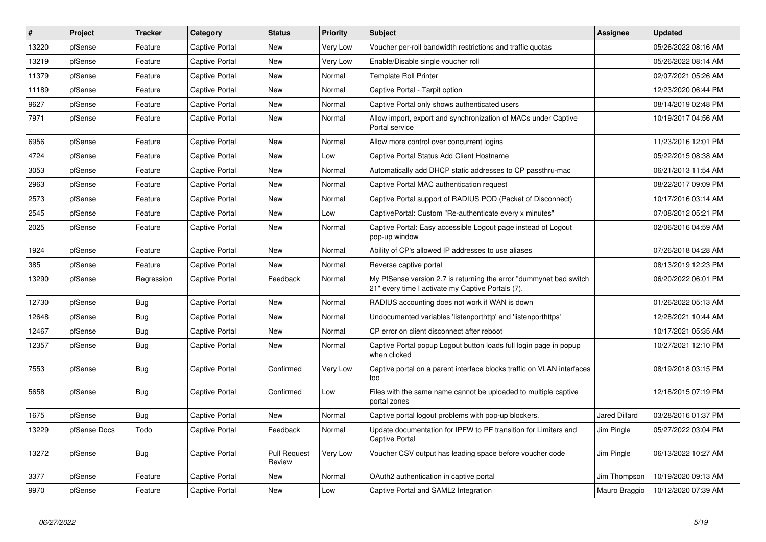| $\vert$ # | Project      | <b>Tracker</b> | Category              | <b>Status</b>                 | <b>Priority</b> | <b>Subject</b>                                                                                                          | <b>Assignee</b>      | <b>Updated</b>      |
|-----------|--------------|----------------|-----------------------|-------------------------------|-----------------|-------------------------------------------------------------------------------------------------------------------------|----------------------|---------------------|
| 13220     | pfSense      | Feature        | <b>Captive Portal</b> | New                           | Very Low        | Voucher per-roll bandwidth restrictions and traffic quotas                                                              |                      | 05/26/2022 08:16 AM |
| 13219     | pfSense      | Feature        | Captive Portal        | New                           | Very Low        | Enable/Disable single voucher roll                                                                                      |                      | 05/26/2022 08:14 AM |
| 11379     | pfSense      | Feature        | Captive Portal        | <b>New</b>                    | Normal          | <b>Template Roll Printer</b>                                                                                            |                      | 02/07/2021 05:26 AM |
| 11189     | pfSense      | Feature        | Captive Portal        | New                           | Normal          | Captive Portal - Tarpit option                                                                                          |                      | 12/23/2020 06:44 PM |
| 9627      | pfSense      | Feature        | <b>Captive Portal</b> | New                           | Normal          | Captive Portal only shows authenticated users                                                                           |                      | 08/14/2019 02:48 PM |
| 7971      | pfSense      | Feature        | <b>Captive Portal</b> | New                           | Normal          | Allow import, export and synchronization of MACs under Captive<br>Portal service                                        |                      | 10/19/2017 04:56 AM |
| 6956      | pfSense      | Feature        | Captive Portal        | <b>New</b>                    | Normal          | Allow more control over concurrent logins                                                                               |                      | 11/23/2016 12:01 PM |
| 4724      | pfSense      | Feature        | <b>Captive Portal</b> | <b>New</b>                    | Low             | Captive Portal Status Add Client Hostname                                                                               |                      | 05/22/2015 08:38 AM |
| 3053      | pfSense      | Feature        | <b>Captive Portal</b> | New                           | Normal          | Automatically add DHCP static addresses to CP passthru-mac                                                              |                      | 06/21/2013 11:54 AM |
| 2963      | pfSense      | Feature        | Captive Portal        | New                           | Normal          | Captive Portal MAC authentication request                                                                               |                      | 08/22/2017 09:09 PM |
| 2573      | pfSense      | Feature        | Captive Portal        | New                           | Normal          | Captive Portal support of RADIUS POD (Packet of Disconnect)                                                             |                      | 10/17/2016 03:14 AM |
| 2545      | pfSense      | Feature        | <b>Captive Portal</b> | <b>New</b>                    | Low             | CaptivePortal: Custom "Re-authenticate every x minutes"                                                                 |                      | 07/08/2012 05:21 PM |
| 2025      | pfSense      | Feature        | Captive Portal        | New                           | Normal          | Captive Portal: Easy accessible Logout page instead of Logout<br>pop-up window                                          |                      | 02/06/2016 04:59 AM |
| 1924      | pfSense      | Feature        | Captive Portal        | New                           | Normal          | Ability of CP's allowed IP addresses to use aliases                                                                     |                      | 07/26/2018 04:28 AM |
| 385       | pfSense      | Feature        | Captive Portal        | New                           | Normal          | Reverse captive portal                                                                                                  |                      | 08/13/2019 12:23 PM |
| 13290     | pfSense      | Regression     | Captive Portal        | Feedback                      | Normal          | My PfSense version 2.7 is returning the error "dummynet bad switch<br>21" every time I activate my Captive Portals (7). |                      | 06/20/2022 06:01 PM |
| 12730     | pfSense      | <b>Bug</b>     | Captive Portal        | New                           | Normal          | RADIUS accounting does not work if WAN is down                                                                          |                      | 01/26/2022 05:13 AM |
| 12648     | pfSense      | Bug            | Captive Portal        | New                           | Normal          | Undocumented variables 'listenporthttp' and 'listenporthttps'                                                           |                      | 12/28/2021 10:44 AM |
| 12467     | pfSense      | <b>Bug</b>     | Captive Portal        | New                           | Normal          | CP error on client disconnect after reboot                                                                              |                      | 10/17/2021 05:35 AM |
| 12357     | pfSense      | Bug            | Captive Portal        | New                           | Normal          | Captive Portal popup Logout button loads full login page in popup<br>when clicked                                       |                      | 10/27/2021 12:10 PM |
| 7553      | pfSense      | <b>Bug</b>     | <b>Captive Portal</b> | Confirmed                     | Very Low        | Captive portal on a parent interface blocks traffic on VLAN interfaces<br>too                                           |                      | 08/19/2018 03:15 PM |
| 5658      | pfSense      | Bug            | Captive Portal        | Confirmed                     | Low             | Files with the same name cannot be uploaded to multiple captive<br>portal zones                                         |                      | 12/18/2015 07:19 PM |
| 1675      | pfSense      | <b>Bug</b>     | <b>Captive Portal</b> | <b>New</b>                    | Normal          | Captive portal logout problems with pop-up blockers.                                                                    | <b>Jared Dillard</b> | 03/28/2016 01:37 PM |
| 13229     | pfSense Docs | Todo           | Captive Portal        | Feedback                      | Normal          | Update documentation for IPFW to PF transition for Limiters and<br><b>Captive Portal</b>                                | Jim Pingle           | 05/27/2022 03:04 PM |
| 13272     | pfSense      | Bug            | Captive Portal        | <b>Pull Request</b><br>Review | Very Low        | Voucher CSV output has leading space before voucher code                                                                | Jim Pingle           | 06/13/2022 10:27 AM |
| 3377      | pfSense      | Feature        | Captive Portal        | New                           | Normal          | OAuth2 authentication in captive portal                                                                                 | Jim Thompson         | 10/19/2020 09:13 AM |
| 9970      | pfSense      | Feature        | <b>Captive Portal</b> | New                           | Low             | Captive Portal and SAML2 Integration                                                                                    | Mauro Braggio        | 10/12/2020 07:39 AM |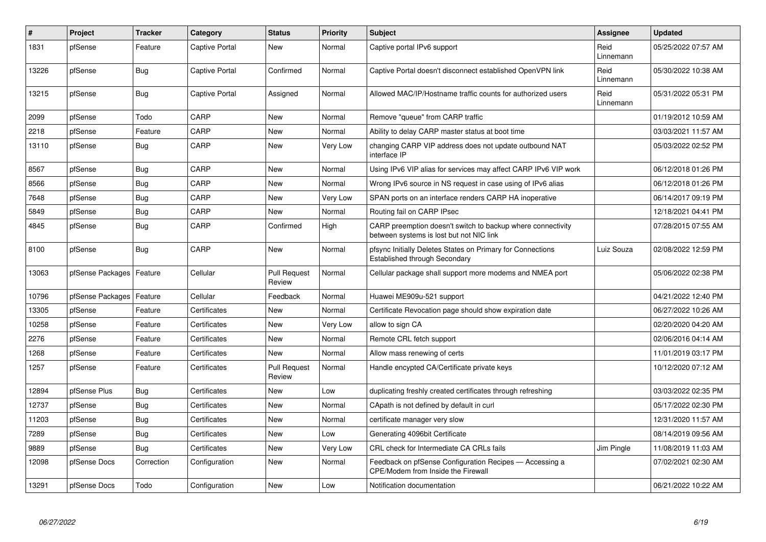| $\#$  | Project          | <b>Tracker</b> | Category       | <b>Status</b>                 | <b>Priority</b> | <b>Subject</b>                                                                                          | <b>Assignee</b>   | <b>Updated</b>      |
|-------|------------------|----------------|----------------|-------------------------------|-----------------|---------------------------------------------------------------------------------------------------------|-------------------|---------------------|
| 1831  | pfSense          | Feature        | Captive Portal | New                           | Normal          | Captive portal IPv6 support                                                                             | Reid<br>Linnemann | 05/25/2022 07:57 AM |
| 13226 | pfSense          | <b>Bug</b>     | Captive Portal | Confirmed                     | Normal          | Captive Portal doesn't disconnect established OpenVPN link                                              | Reid<br>Linnemann | 05/30/2022 10:38 AM |
| 13215 | pfSense          | <b>Bug</b>     | Captive Portal | Assigned                      | Normal          | Allowed MAC/IP/Hostname traffic counts for authorized users                                             | Reid<br>Linnemann | 05/31/2022 05:31 PM |
| 2099  | pfSense          | Todo           | CARP           | New                           | Normal          | Remove "queue" from CARP traffic                                                                        |                   | 01/19/2012 10:59 AM |
| 2218  | pfSense          | Feature        | CARP           | <b>New</b>                    | Normal          | Ability to delay CARP master status at boot time                                                        |                   | 03/03/2021 11:57 AM |
| 13110 | pfSense          | <b>Bug</b>     | CARP           | New                           | Very Low        | changing CARP VIP address does not update outbound NAT<br>interface IP                                  |                   | 05/03/2022 02:52 PM |
| 8567  | pfSense          | <b>Bug</b>     | CARP           | <b>New</b>                    | Normal          | Using IPv6 VIP alias for services may affect CARP IPv6 VIP work                                         |                   | 06/12/2018 01:26 PM |
| 8566  | pfSense          | Bug            | CARP           | New                           | Normal          | Wrong IPv6 source in NS request in case using of IPv6 alias                                             |                   | 06/12/2018 01:26 PM |
| 7648  | pfSense          | Bug            | CARP           | <b>New</b>                    | Very Low        | SPAN ports on an interface renders CARP HA inoperative                                                  |                   | 06/14/2017 09:19 PM |
| 5849  | pfSense          | Bug            | CARP           | <b>New</b>                    | Normal          | Routing fail on CARP IPsec                                                                              |                   | 12/18/2021 04:41 PM |
| 4845  | pfSense          | <b>Bug</b>     | CARP           | Confirmed                     | High            | CARP preemption doesn't switch to backup where connectivity<br>between systems is lost but not NIC link |                   | 07/28/2015 07:55 AM |
| 8100  | pfSense          | <b>Bug</b>     | CARP           | New                           | Normal          | pfsync Initially Deletes States on Primary for Connections<br>Established through Secondary             | Luiz Souza        | 02/08/2022 12:59 PM |
| 13063 | pfSense Packages | Feature        | Cellular       | <b>Pull Request</b><br>Review | Normal          | Cellular package shall support more modems and NMEA port                                                |                   | 05/06/2022 02:38 PM |
| 10796 | pfSense Packages | Feature        | Cellular       | Feedback                      | Normal          | Huawei ME909u-521 support                                                                               |                   | 04/21/2022 12:40 PM |
| 13305 | pfSense          | Feature        | Certificates   | <b>New</b>                    | Normal          | Certificate Revocation page should show expiration date                                                 |                   | 06/27/2022 10:26 AM |
| 10258 | pfSense          | Feature        | Certificates   | <b>New</b>                    | Very Low        | allow to sign CA                                                                                        |                   | 02/20/2020 04:20 AM |
| 2276  | pfSense          | Feature        | Certificates   | <b>New</b>                    | Normal          | Remote CRL fetch support                                                                                |                   | 02/06/2016 04:14 AM |
| 1268  | pfSense          | Feature        | Certificates   | <b>New</b>                    | Normal          | Allow mass renewing of certs                                                                            |                   | 11/01/2019 03:17 PM |
| 1257  | pfSense          | Feature        | Certificates   | <b>Pull Request</b><br>Review | Normal          | Handle encypted CA/Certificate private keys                                                             |                   | 10/12/2020 07:12 AM |
| 12894 | pfSense Plus     | Bug            | Certificates   | New                           | Low             | duplicating freshly created certificates through refreshing                                             |                   | 03/03/2022 02:35 PM |
| 12737 | pfSense          | <b>Bug</b>     | Certificates   | New                           | Normal          | CApath is not defined by default in curl                                                                |                   | 05/17/2022 02:30 PM |
| 11203 | pfSense          | <b>Bug</b>     | Certificates   | New                           | Normal          | certificate manager very slow                                                                           |                   | 12/31/2020 11:57 AM |
| 7289  | pfSense          | Bug            | Certificates   | <b>New</b>                    | Low             | Generating 4096bit Certificate                                                                          |                   | 08/14/2019 09:56 AM |
| 9889  | pfSense          | <b>Bug</b>     | Certificates   | <b>New</b>                    | Very Low        | CRL check for Intermediate CA CRLs fails                                                                | Jim Pingle        | 11/08/2019 11:03 AM |
| 12098 | pfSense Docs     | Correction     | Configuration  | New                           | Normal          | Feedback on pfSense Configuration Recipes - Accessing a<br>CPE/Modem from Inside the Firewall           |                   | 07/02/2021 02:30 AM |
| 13291 | pfSense Docs     | Todo           | Configuration  | <b>New</b>                    | Low             | Notification documentation                                                                              |                   | 06/21/2022 10:22 AM |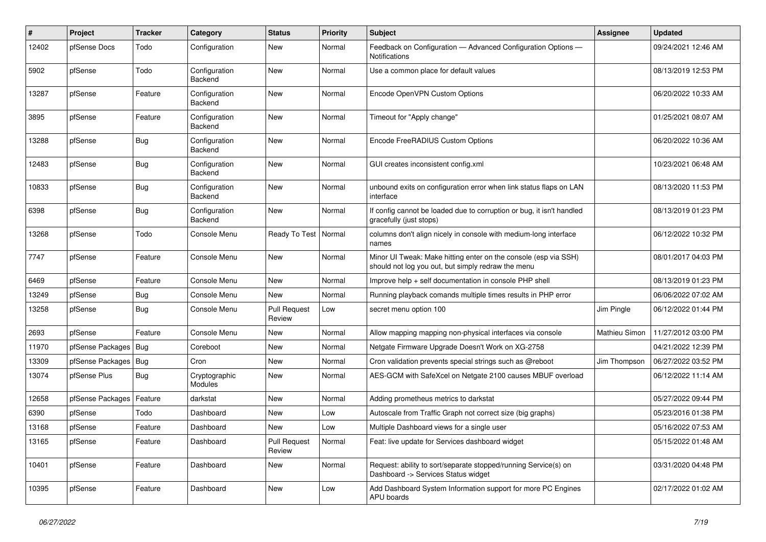| #     | Project                | <b>Tracker</b> | Category                 | <b>Status</b>                 | <b>Priority</b> | <b>Subject</b>                                                                                                        | Assignee      | <b>Updated</b>      |
|-------|------------------------|----------------|--------------------------|-------------------------------|-----------------|-----------------------------------------------------------------------------------------------------------------------|---------------|---------------------|
| 12402 | pfSense Docs           | Todo           | Configuration            | <b>New</b>                    | Normal          | Feedback on Configuration - Advanced Configuration Options -<br><b>Notifications</b>                                  |               | 09/24/2021 12:46 AM |
| 5902  | pfSense                | Todo           | Configuration<br>Backend | New                           | Normal          | Use a common place for default values                                                                                 |               | 08/13/2019 12:53 PM |
| 13287 | pfSense                | Feature        | Configuration<br>Backend | <b>New</b>                    | Normal          | Encode OpenVPN Custom Options                                                                                         |               | 06/20/2022 10:33 AM |
| 3895  | pfSense                | Feature        | Configuration<br>Backend | New                           | Normal          | Timeout for "Apply change"                                                                                            |               | 01/25/2021 08:07 AM |
| 13288 | pfSense                | <b>Bug</b>     | Configuration<br>Backend | <b>New</b>                    | Normal          | Encode FreeRADIUS Custom Options                                                                                      |               | 06/20/2022 10:36 AM |
| 12483 | pfSense                | <b>Bug</b>     | Configuration<br>Backend | <b>New</b>                    | Normal          | GUI creates inconsistent config.xml                                                                                   |               | 10/23/2021 06:48 AM |
| 10833 | pfSense                | <b>Bug</b>     | Configuration<br>Backend | <b>New</b>                    | Normal          | unbound exits on configuration error when link status flaps on LAN<br>interface                                       |               | 08/13/2020 11:53 PM |
| 6398  | pfSense                | <b>Bug</b>     | Configuration<br>Backend | New                           | Normal          | If config cannot be loaded due to corruption or bug, it isn't handled<br>gracefully (just stops)                      |               | 08/13/2019 01:23 PM |
| 13268 | pfSense                | Todo           | Console Menu             | Ready To Test                 | Normal          | columns don't align nicely in console with medium-long interface<br>names                                             |               | 06/12/2022 10:32 PM |
| 7747  | pfSense                | Feature        | Console Menu             | <b>New</b>                    | Normal          | Minor UI Tweak: Make hitting enter on the console (esp via SSH)<br>should not log you out, but simply redraw the menu |               | 08/01/2017 04:03 PM |
| 6469  | pfSense                | Feature        | Console Menu             | New                           | Normal          | Improve help + self documentation in console PHP shell                                                                |               | 08/13/2019 01:23 PM |
| 13249 | pfSense                | <b>Bug</b>     | Console Menu             | New                           | Normal          | Running playback comands multiple times results in PHP error                                                          |               | 06/06/2022 07:02 AM |
| 13258 | pfSense                | <b>Bug</b>     | Console Menu             | <b>Pull Request</b><br>Review | Low             | secret menu option 100                                                                                                | Jim Pingle    | 06/12/2022 01:44 PM |
| 2693  | pfSense                | Feature        | Console Menu             | New                           | Normal          | Allow mapping mapping non-physical interfaces via console                                                             | Mathieu Simon | 11/27/2012 03:00 PM |
| 11970 | pfSense Packages   Bug |                | Coreboot                 | New                           | Normal          | Netgate Firmware Upgrade Doesn't Work on XG-2758                                                                      |               | 04/21/2022 12:39 PM |
| 13309 | pfSense Packages       | <b>Bug</b>     | Cron                     | <b>New</b>                    | Normal          | Cron validation prevents special strings such as @reboot                                                              | Jim Thompson  | 06/27/2022 03:52 PM |
| 13074 | pfSense Plus           | <b>Bug</b>     | Cryptographic<br>Modules | New                           | Normal          | AES-GCM with SafeXcel on Netgate 2100 causes MBUF overload                                                            |               | 06/12/2022 11:14 AM |
| 12658 | pfSense Packages       | Feature        | darkstat                 | <b>New</b>                    | Normal          | Adding prometheus metrics to darkstat                                                                                 |               | 05/27/2022 09:44 PM |
| 6390  | pfSense                | Todo           | Dashboard                | New                           | Low             | Autoscale from Traffic Graph not correct size (big graphs)                                                            |               | 05/23/2016 01:38 PM |
| 13168 | pfSense                | Feature        | Dashboard                | New                           | Low             | Multiple Dashboard views for a single user                                                                            |               | 05/16/2022 07:53 AM |
| 13165 | pfSense                | Feature        | Dashboard                | <b>Pull Request</b><br>Review | Normal          | Feat: live update for Services dashboard widget                                                                       |               | 05/15/2022 01:48 AM |
| 10401 | pfSense                | Feature        | Dashboard                | New                           | Normal          | Request: ability to sort/separate stopped/running Service(s) on<br>Dashboard -> Services Status widget                |               | 03/31/2020 04:48 PM |
| 10395 | pfSense                | Feature        | Dashboard                | New                           | Low             | Add Dashboard System Information support for more PC Engines<br>APU boards                                            |               | 02/17/2022 01:02 AM |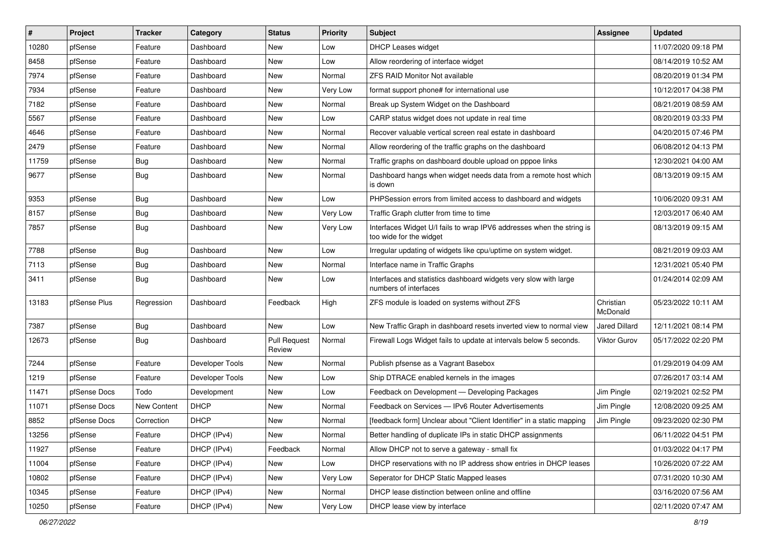| $\vert$ # | Project      | <b>Tracker</b> | Category        | <b>Status</b>                 | <b>Priority</b> | <b>Subject</b>                                                                                   | Assignee              | <b>Updated</b>      |
|-----------|--------------|----------------|-----------------|-------------------------------|-----------------|--------------------------------------------------------------------------------------------------|-----------------------|---------------------|
| 10280     | pfSense      | Feature        | Dashboard       | New                           | Low             | <b>DHCP Leases widget</b>                                                                        |                       | 11/07/2020 09:18 PM |
| 8458      | pfSense      | Feature        | Dashboard       | <b>New</b>                    | Low             | Allow reordering of interface widget                                                             |                       | 08/14/2019 10:52 AM |
| 7974      | pfSense      | Feature        | Dashboard       | New                           | Normal          | <b>ZFS RAID Monitor Not available</b>                                                            |                       | 08/20/2019 01:34 PM |
| 7934      | pfSense      | Feature        | Dashboard       | <b>New</b>                    | Very Low        | format support phone# for international use                                                      |                       | 10/12/2017 04:38 PM |
| 7182      | pfSense      | Feature        | Dashboard       | <b>New</b>                    | Normal          | Break up System Widget on the Dashboard                                                          |                       | 08/21/2019 08:59 AM |
| 5567      | pfSense      | Feature        | Dashboard       | New                           | Low             | CARP status widget does not update in real time                                                  |                       | 08/20/2019 03:33 PM |
| 4646      | pfSense      | Feature        | Dashboard       | New                           | Normal          | Recover valuable vertical screen real estate in dashboard                                        |                       | 04/20/2015 07:46 PM |
| 2479      | pfSense      | Feature        | Dashboard       | New                           | Normal          | Allow reordering of the traffic graphs on the dashboard                                          |                       | 06/08/2012 04:13 PM |
| 11759     | pfSense      | <b>Bug</b>     | Dashboard       | <b>New</b>                    | Normal          | Traffic graphs on dashboard double upload on pppoe links                                         |                       | 12/30/2021 04:00 AM |
| 9677      | pfSense      | <b>Bug</b>     | Dashboard       | New                           | Normal          | Dashboard hangs when widget needs data from a remote host which<br>is down                       |                       | 08/13/2019 09:15 AM |
| 9353      | pfSense      | <b>Bug</b>     | Dashboard       | <b>New</b>                    | Low             | PHPSession errors from limited access to dashboard and widgets                                   |                       | 10/06/2020 09:31 AM |
| 8157      | pfSense      | <b>Bug</b>     | Dashboard       | <b>New</b>                    | Very Low        | Traffic Graph clutter from time to time                                                          |                       | 12/03/2017 06:40 AM |
| 7857      | pfSense      | <b>Bug</b>     | Dashboard       | New                           | Very Low        | Interfaces Widget U/I fails to wrap IPV6 addresses when the string is<br>too wide for the widget |                       | 08/13/2019 09:15 AM |
| 7788      | pfSense      | <b>Bug</b>     | Dashboard       | <b>New</b>                    | Low             | Irregular updating of widgets like cpu/uptime on system widget.                                  |                       | 08/21/2019 09:03 AM |
| 7113      | pfSense      | Bug            | Dashboard       | <b>New</b>                    | Normal          | Interface name in Traffic Graphs                                                                 |                       | 12/31/2021 05:40 PM |
| 3411      | pfSense      | Bug            | Dashboard       | New                           | Low             | Interfaces and statistics dashboard widgets very slow with large<br>numbers of interfaces        |                       | 01/24/2014 02:09 AM |
| 13183     | pfSense Plus | Regression     | Dashboard       | Feedback                      | High            | ZFS module is loaded on systems without ZFS                                                      | Christian<br>McDonald | 05/23/2022 10:11 AM |
| 7387      | pfSense      | <b>Bug</b>     | Dashboard       | <b>New</b>                    | Low             | New Traffic Graph in dashboard resets inverted view to normal view                               | <b>Jared Dillard</b>  | 12/11/2021 08:14 PM |
| 12673     | pfSense      | <b>Bug</b>     | Dashboard       | <b>Pull Request</b><br>Review | Normal          | Firewall Logs Widget fails to update at intervals below 5 seconds.                               | <b>Viktor Gurov</b>   | 05/17/2022 02:20 PM |
| 7244      | pfSense      | Feature        | Developer Tools | New                           | Normal          | Publish pfsense as a Vagrant Basebox                                                             |                       | 01/29/2019 04:09 AM |
| 1219      | pfSense      | Feature        | Developer Tools | New                           | Low             | Ship DTRACE enabled kernels in the images                                                        |                       | 07/26/2017 03:14 AM |
| 11471     | pfSense Docs | Todo           | Development     | New                           | Low             | Feedback on Development - Developing Packages                                                    | Jim Pingle            | 02/19/2021 02:52 PM |
| 11071     | pfSense Docs | New Content    | <b>DHCP</b>     | <b>New</b>                    | Normal          | Feedback on Services - IPv6 Router Advertisements                                                | Jim Pingle            | 12/08/2020 09:25 AM |
| 8852      | pfSense Docs | Correction     | <b>DHCP</b>     | <b>New</b>                    | Normal          | [feedback form] Unclear about "Client Identifier" in a static mapping                            | Jim Pingle            | 09/23/2020 02:30 PM |
| 13256     | pfSense      | Feature        | DHCP (IPv4)     | New                           | Normal          | Better handling of duplicate IPs in static DHCP assignments                                      |                       | 06/11/2022 04:51 PM |
| 11927     | pfSense      | Feature        | DHCP (IPv4)     | Feedback                      | Normal          | Allow DHCP not to serve a gateway - small fix                                                    |                       | 01/03/2022 04:17 PM |
| 11004     | pfSense      | Feature        | DHCP (IPv4)     | New                           | Low             | DHCP reservations with no IP address show entries in DHCP leases                                 |                       | 10/26/2020 07:22 AM |
| 10802     | pfSense      | Feature        | DHCP (IPv4)     | New                           | Very Low        | Seperator for DHCP Static Mapped leases                                                          |                       | 07/31/2020 10:30 AM |
| 10345     | pfSense      | Feature        | DHCP (IPv4)     | New                           | Normal          | DHCP lease distinction between online and offline                                                |                       | 03/16/2020 07:56 AM |
| 10250     | pfSense      | Feature        | DHCP (IPv4)     | New                           | Very Low        | DHCP lease view by interface                                                                     |                       | 02/11/2020 07:47 AM |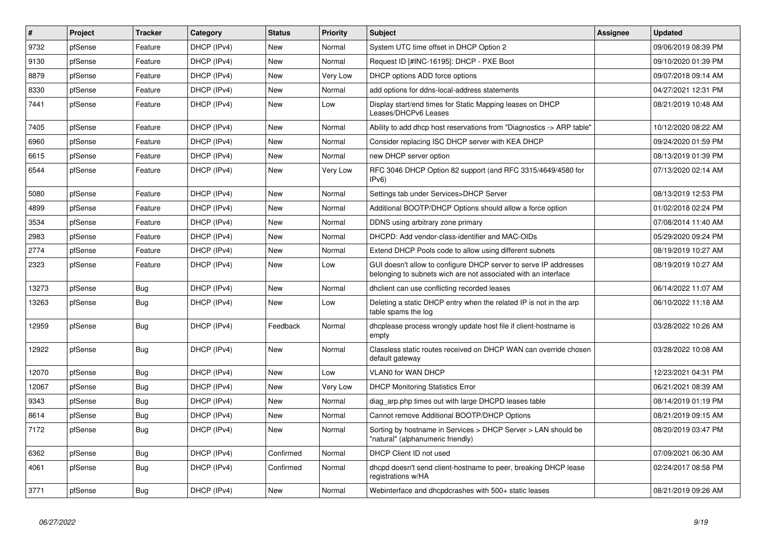| $\sharp$ | Project | <b>Tracker</b> | Category    | <b>Status</b> | <b>Priority</b> | <b>Subject</b>                                                                                                                     | <b>Assignee</b> | <b>Updated</b>      |
|----------|---------|----------------|-------------|---------------|-----------------|------------------------------------------------------------------------------------------------------------------------------------|-----------------|---------------------|
| 9732     | pfSense | Feature        | DHCP (IPv4) | <b>New</b>    | Normal          | System UTC time offset in DHCP Option 2                                                                                            |                 | 09/06/2019 08:39 PM |
| 9130     | pfSense | Feature        | DHCP (IPv4) | <b>New</b>    | Normal          | Request ID [#INC-16195]: DHCP - PXE Boot                                                                                           |                 | 09/10/2020 01:39 PM |
| 8879     | pfSense | Feature        | DHCP (IPv4) | <b>New</b>    | Very Low        | DHCP options ADD force options                                                                                                     |                 | 09/07/2018 09:14 AM |
| 8330     | pfSense | Feature        | DHCP (IPv4) | New           | Normal          | add options for ddns-local-address statements                                                                                      |                 | 04/27/2021 12:31 PM |
| 7441     | pfSense | Feature        | DHCP (IPv4) | <b>New</b>    | Low             | Display start/end times for Static Mapping leases on DHCP<br>Leases/DHCPv6 Leases                                                  |                 | 08/21/2019 10:48 AM |
| 7405     | pfSense | Feature        | DHCP (IPv4) | New           | Normal          | Ability to add dhcp host reservations from "Diagnostics -> ARP table"                                                              |                 | 10/12/2020 08:22 AM |
| 6960     | pfSense | Feature        | DHCP (IPv4) | <b>New</b>    | Normal          | Consider replacing ISC DHCP server with KEA DHCP                                                                                   |                 | 09/24/2020 01:59 PM |
| 6615     | pfSense | Feature        | DHCP (IPv4) | <b>New</b>    | Normal          | new DHCP server option                                                                                                             |                 | 08/13/2019 01:39 PM |
| 6544     | pfSense | Feature        | DHCP (IPv4) | <b>New</b>    | Very Low        | RFC 3046 DHCP Option 82 support (and RFC 3315/4649/4580 for<br>IPv6                                                                |                 | 07/13/2020 02:14 AM |
| 5080     | pfSense | Feature        | DHCP (IPv4) | <b>New</b>    | Normal          | Settings tab under Services>DHCP Server                                                                                            |                 | 08/13/2019 12:53 PM |
| 4899     | pfSense | Feature        | DHCP (IPv4) | New           | Normal          | Additional BOOTP/DHCP Options should allow a force option                                                                          |                 | 01/02/2018 02:24 PM |
| 3534     | pfSense | Feature        | DHCP (IPv4) | New           | Normal          | DDNS using arbitrary zone primary                                                                                                  |                 | 07/08/2014 11:40 AM |
| 2983     | pfSense | Feature        | DHCP (IPv4) | New           | Normal          | DHCPD: Add vendor-class-identifier and MAC-OIDs                                                                                    |                 | 05/29/2020 09:24 PM |
| 2774     | pfSense | Feature        | DHCP (IPv4) | New           | Normal          | Extend DHCP Pools code to allow using different subnets                                                                            |                 | 08/19/2019 10:27 AM |
| 2323     | pfSense | Feature        | DHCP (IPv4) | New           | Low             | GUI doesn't allow to configure DHCP server to serve IP addresses<br>belonging to subnets wich are not associated with an interface |                 | 08/19/2019 10:27 AM |
| 13273    | pfSense | <b>Bug</b>     | DHCP (IPv4) | New           | Normal          | dhclient can use conflicting recorded leases                                                                                       |                 | 06/14/2022 11:07 AM |
| 13263    | pfSense | <b>Bug</b>     | DHCP (IPv4) | New           | Low             | Deleting a static DHCP entry when the related IP is not in the arp<br>table spams the log                                          |                 | 06/10/2022 11:18 AM |
| 12959    | pfSense | <b>Bug</b>     | DHCP (IPv4) | Feedback      | Normal          | dhoplease process wrongly update host file if client-hostname is<br>empty                                                          |                 | 03/28/2022 10:26 AM |
| 12922    | pfSense | Bug            | DHCP (IPv4) | <b>New</b>    | Normal          | Classless static routes received on DHCP WAN can override chosen<br>default gateway                                                |                 | 03/28/2022 10:08 AM |
| 12070    | pfSense | Bug            | DHCP (IPv4) | <b>New</b>    | Low             | VLAN0 for WAN DHCP                                                                                                                 |                 | 12/23/2021 04:31 PM |
| 12067    | pfSense | <b>Bug</b>     | DHCP (IPv4) | New           | Very Low        | <b>DHCP Monitoring Statistics Error</b>                                                                                            |                 | 06/21/2021 08:39 AM |
| 9343     | pfSense | <b>Bug</b>     | DHCP (IPv4) | <b>New</b>    | Normal          | diag arp.php times out with large DHCPD leases table                                                                               |                 | 08/14/2019 01:19 PM |
| 8614     | pfSense | <b>Bug</b>     | DHCP (IPv4) | New           | Normal          | Cannot remove Additional BOOTP/DHCP Options                                                                                        |                 | 08/21/2019 09:15 AM |
| 7172     | pfSense | Bug            | DHCP (IPv4) | New           | Normal          | Sorting by hostname in Services > DHCP Server > LAN should be<br>'natural" (alphanumeric friendly)                                 |                 | 08/20/2019 03:47 PM |
| 6362     | pfSense | <b>Bug</b>     | DHCP (IPv4) | Confirmed     | Normal          | DHCP Client ID not used                                                                                                            |                 | 07/09/2021 06:30 AM |
| 4061     | pfSense | Bug            | DHCP (IPv4) | Confirmed     | Normal          | dhopd doesn't send client-hostname to peer, breaking DHCP lease<br>registrations w/HA                                              |                 | 02/24/2017 08:58 PM |
| 3771     | pfSense | Bug            | DHCP (IPv4) | New           | Normal          | Webinterface and dhcpdcrashes with 500+ static leases                                                                              |                 | 08/21/2019 09:26 AM |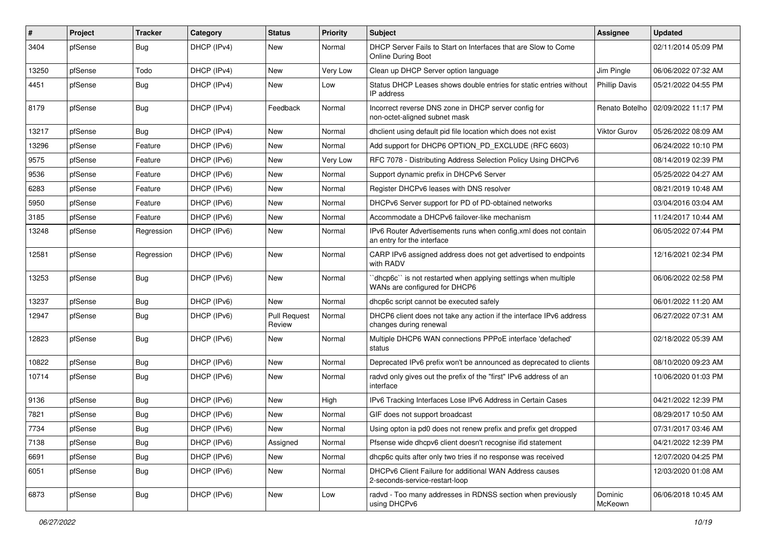| #     | Project | <b>Tracker</b> | Category    | <b>Status</b>                 | <b>Priority</b> | <b>Subject</b>                                                                                 | <b>Assignee</b>      | <b>Updated</b>                       |
|-------|---------|----------------|-------------|-------------------------------|-----------------|------------------------------------------------------------------------------------------------|----------------------|--------------------------------------|
| 3404  | pfSense | Bug            | DHCP (IPv4) | New                           | Normal          | DHCP Server Fails to Start on Interfaces that are Slow to Come<br><b>Online During Boot</b>    |                      | 02/11/2014 05:09 PM                  |
| 13250 | pfSense | Todo           | DHCP (IPv4) | New                           | Very Low        | Clean up DHCP Server option language                                                           | Jim Pingle           | 06/06/2022 07:32 AM                  |
| 4451  | pfSense | <b>Bug</b>     | DHCP (IPv4) | New                           | Low             | Status DHCP Leases shows double entries for static entries without<br>IP address               | <b>Phillip Davis</b> | 05/21/2022 04:55 PM                  |
| 8179  | pfSense | Bug            | DHCP (IPv4) | Feedback                      | Normal          | Incorrect reverse DNS zone in DHCP server config for<br>non-octet-aligned subnet mask          |                      | Renato Botelho   02/09/2022 11:17 PM |
| 13217 | pfSense | Bug            | DHCP (IPv4) | <b>New</b>                    | Normal          | dhclient using default pid file location which does not exist                                  | Viktor Gurov         | 05/26/2022 08:09 AM                  |
| 13296 | pfSense | Feature        | DHCP (IPv6) | New                           | Normal          | Add support for DHCP6 OPTION PD EXCLUDE (RFC 6603)                                             |                      | 06/24/2022 10:10 PM                  |
| 9575  | pfSense | Feature        | DHCP (IPv6) | New                           | Very Low        | RFC 7078 - Distributing Address Selection Policy Using DHCPv6                                  |                      | 08/14/2019 02:39 PM                  |
| 9536  | pfSense | Feature        | DHCP (IPv6) | New                           | Normal          | Support dynamic prefix in DHCPv6 Server                                                        |                      | 05/25/2022 04:27 AM                  |
| 6283  | pfSense | Feature        | DHCP (IPv6) | <b>New</b>                    | Normal          | Register DHCPv6 leases with DNS resolver                                                       |                      | 08/21/2019 10:48 AM                  |
| 5950  | pfSense | Feature        | DHCP (IPv6) | New                           | Normal          | DHCPv6 Server support for PD of PD-obtained networks                                           |                      | 03/04/2016 03:04 AM                  |
| 3185  | pfSense | Feature        | DHCP (IPv6) | New                           | Normal          | Accommodate a DHCPv6 failover-like mechanism                                                   |                      | 11/24/2017 10:44 AM                  |
| 13248 | pfSense | Regression     | DHCP (IPv6) | New                           | Normal          | IPv6 Router Advertisements runs when config.xml does not contain<br>an entry for the interface |                      | 06/05/2022 07:44 PM                  |
| 12581 | pfSense | Regression     | DHCP (IPv6) | <b>New</b>                    | Normal          | CARP IPv6 assigned address does not get advertised to endpoints<br>with RADV                   |                      | 12/16/2021 02:34 PM                  |
| 13253 | pfSense | Bug            | DHCP (IPv6) | <b>New</b>                    | Normal          | dhcp6c" is not restarted when applying settings when multiple<br>WANs are configured for DHCP6 |                      | 06/06/2022 02:58 PM                  |
| 13237 | pfSense | Bug            | DHCP (IPv6) | New                           | Normal          | dhcp6c script cannot be executed safely                                                        |                      | 06/01/2022 11:20 AM                  |
| 12947 | pfSense | <b>Bug</b>     | DHCP (IPv6) | <b>Pull Request</b><br>Review | Normal          | DHCP6 client does not take any action if the interface IPv6 address<br>changes during renewal  |                      | 06/27/2022 07:31 AM                  |
| 12823 | pfSense | Bug            | DHCP (IPv6) | <b>New</b>                    | Normal          | Multiple DHCP6 WAN connections PPPoE interface 'defached'<br>status                            |                      | 02/18/2022 05:39 AM                  |
| 10822 | pfSense | Bug            | DHCP (IPv6) | New                           | Normal          | Deprecated IPv6 prefix won't be announced as deprecated to clients                             |                      | 08/10/2020 09:23 AM                  |
| 10714 | pfSense | Bug            | DHCP (IPv6) | New                           | Normal          | radvd only gives out the prefix of the "first" IPv6 address of an<br>interface                 |                      | 10/06/2020 01:03 PM                  |
| 9136  | pfSense | Bug            | DHCP (IPv6) | <b>New</b>                    | High            | IPv6 Tracking Interfaces Lose IPv6 Address in Certain Cases                                    |                      | 04/21/2022 12:39 PM                  |
| 7821  | pfSense | <b>Bug</b>     | DHCP (IPv6) | New                           | Normal          | GIF does not support broadcast                                                                 |                      | 08/29/2017 10:50 AM                  |
| 7734  | pfSense | <b>Bug</b>     | DHCP (IPv6) | New                           | Normal          | Using opton ia pd0 does not renew prefix and prefix get dropped                                |                      | 07/31/2017 03:46 AM                  |
| 7138  | pfSense | <b>Bug</b>     | DHCP (IPv6) | Assigned                      | Normal          | Pfsense wide dhcpv6 client doesn't recognise ifid statement                                    |                      | 04/21/2022 12:39 PM                  |
| 6691  | pfSense | <b>Bug</b>     | DHCP (IPv6) | New                           | Normal          | dhcp6c quits after only two tries if no response was received                                  |                      | 12/07/2020 04:25 PM                  |
| 6051  | pfSense | <b>Bug</b>     | DHCP (IPv6) | New                           | Normal          | DHCPv6 Client Failure for additional WAN Address causes<br>2-seconds-service-restart-loop      |                      | 12/03/2020 01:08 AM                  |
| 6873  | pfSense | Bug            | DHCP (IPv6) | New                           | Low             | radvd - Too many addresses in RDNSS section when previously<br>using DHCPv6                    | Dominic<br>McKeown   | 06/06/2018 10:45 AM                  |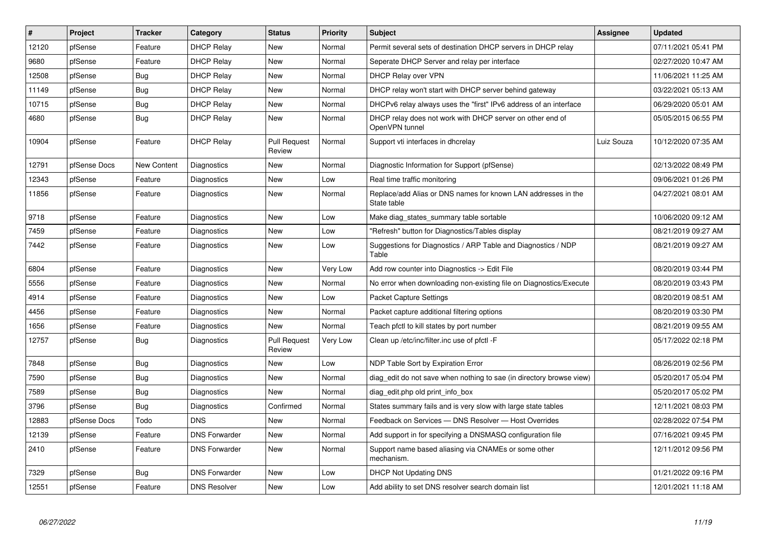| $\vert$ # | Project      | <b>Tracker</b> | Category             | <b>Status</b>                 | Priority | <b>Subject</b>                                                               | <b>Assignee</b> | <b>Updated</b>      |
|-----------|--------------|----------------|----------------------|-------------------------------|----------|------------------------------------------------------------------------------|-----------------|---------------------|
| 12120     | pfSense      | Feature        | <b>DHCP Relay</b>    | New                           | Normal   | Permit several sets of destination DHCP servers in DHCP relay                |                 | 07/11/2021 05:41 PM |
| 9680      | pfSense      | Feature        | <b>DHCP Relay</b>    | New                           | Normal   | Seperate DHCP Server and relay per interface                                 |                 | 02/27/2020 10:47 AM |
| 12508     | pfSense      | Bug            | <b>DHCP Relay</b>    | New                           | Normal   | DHCP Relay over VPN                                                          |                 | 11/06/2021 11:25 AM |
| 11149     | pfSense      | <b>Bug</b>     | <b>DHCP Relay</b>    | <b>New</b>                    | Normal   | DHCP relay won't start with DHCP server behind gateway                       |                 | 03/22/2021 05:13 AM |
| 10715     | pfSense      | <b>Bug</b>     | <b>DHCP Relay</b>    | New                           | Normal   | DHCPv6 relay always uses the "first" IPv6 address of an interface            |                 | 06/29/2020 05:01 AM |
| 4680      | pfSense      | <b>Bug</b>     | <b>DHCP Relay</b>    | New                           | Normal   | DHCP relay does not work with DHCP server on other end of<br>OpenVPN tunnel  |                 | 05/05/2015 06:55 PM |
| 10904     | pfSense      | Feature        | <b>DHCP Relay</b>    | <b>Pull Request</b><br>Review | Normal   | Support vti interfaces in dhcrelay                                           | Luiz Souza      | 10/12/2020 07:35 AM |
| 12791     | pfSense Docs | New Content    | Diagnostics          | New                           | Normal   | Diagnostic Information for Support (pfSense)                                 |                 | 02/13/2022 08:49 PM |
| 12343     | pfSense      | Feature        | Diagnostics          | <b>New</b>                    | Low      | Real time traffic monitoring                                                 |                 | 09/06/2021 01:26 PM |
| 11856     | pfSense      | Feature        | Diagnostics          | New                           | Normal   | Replace/add Alias or DNS names for known LAN addresses in the<br>State table |                 | 04/27/2021 08:01 AM |
| 9718      | pfSense      | Feature        | Diagnostics          | <b>New</b>                    | Low      | Make diag_states_summary table sortable                                      |                 | 10/06/2020 09:12 AM |
| 7459      | pfSense      | Feature        | Diagnostics          | New                           | Low      | 'Refresh" button for Diagnostics/Tables display                              |                 | 08/21/2019 09:27 AM |
| 7442      | pfSense      | Feature        | Diagnostics          | New                           | Low      | Suggestions for Diagnostics / ARP Table and Diagnostics / NDP<br>Table       |                 | 08/21/2019 09:27 AM |
| 6804      | pfSense      | Feature        | Diagnostics          | <b>New</b>                    | Very Low | Add row counter into Diagnostics -> Edit File                                |                 | 08/20/2019 03:44 PM |
| 5556      | pfSense      | Feature        | Diagnostics          | New                           | Normal   | No error when downloading non-existing file on Diagnostics/Execute           |                 | 08/20/2019 03:43 PM |
| 4914      | pfSense      | Feature        | Diagnostics          | New                           | Low      | <b>Packet Capture Settings</b>                                               |                 | 08/20/2019 08:51 AM |
| 4456      | pfSense      | Feature        | Diagnostics          | New                           | Normal   | Packet capture additional filtering options                                  |                 | 08/20/2019 03:30 PM |
| 1656      | pfSense      | Feature        | Diagnostics          | New                           | Normal   | Teach pfctl to kill states by port number                                    |                 | 08/21/2019 09:55 AM |
| 12757     | pfSense      | <b>Bug</b>     | Diagnostics          | <b>Pull Request</b><br>Review | Very Low | Clean up /etc/inc/filter.inc use of pfctl -F                                 |                 | 05/17/2022 02:18 PM |
| 7848      | pfSense      | <b>Bug</b>     | Diagnostics          | New                           | Low      | NDP Table Sort by Expiration Error                                           |                 | 08/26/2019 02:56 PM |
| 7590      | pfSense      | Bug            | Diagnostics          | New                           | Normal   | diag edit do not save when nothing to sae (in directory browse view)         |                 | 05/20/2017 05:04 PM |
| 7589      | pfSense      | <b>Bug</b>     | Diagnostics          | New                           | Normal   | diag_edit.php old print_info_box                                             |                 | 05/20/2017 05:02 PM |
| 3796      | pfSense      | <b>Bug</b>     | Diagnostics          | Confirmed                     | Normal   | States summary fails and is very slow with large state tables                |                 | 12/11/2021 08:03 PM |
| 12883     | pfSense Docs | Todo           | <b>DNS</b>           | <b>New</b>                    | Normal   | Feedback on Services - DNS Resolver - Host Overrides                         |                 | 02/28/2022 07:54 PM |
| 12139     | pfSense      | Feature        | <b>DNS Forwarder</b> | New                           | Normal   | Add support in for specifying a DNSMASQ configuration file                   |                 | 07/16/2021 09:45 PM |
| 2410      | pfSense      | Feature        | <b>DNS Forwarder</b> | New                           | Normal   | Support name based aliasing via CNAMEs or some other<br>mechanism.           |                 | 12/11/2012 09:56 PM |
| 7329      | pfSense      | Bug            | <b>DNS Forwarder</b> | New                           | Low      | <b>DHCP Not Updating DNS</b>                                                 |                 | 01/21/2022 09:16 PM |
| 12551     | pfSense      | Feature        | <b>DNS Resolver</b>  | <b>New</b>                    | Low      | Add ability to set DNS resolver search domain list                           |                 | 12/01/2021 11:18 AM |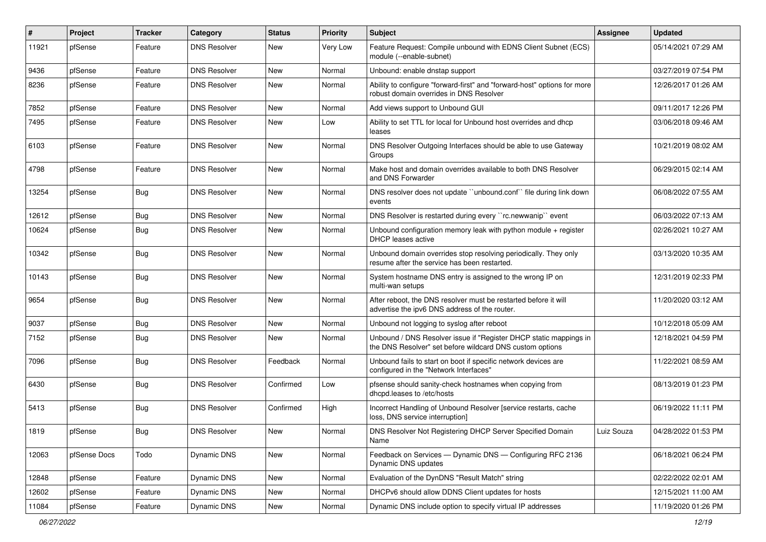| #     | Project      | <b>Tracker</b> | Category            | <b>Status</b> | <b>Priority</b> | Subject                                                                                                                       | Assignee   | <b>Updated</b>      |
|-------|--------------|----------------|---------------------|---------------|-----------------|-------------------------------------------------------------------------------------------------------------------------------|------------|---------------------|
| 11921 | pfSense      | Feature        | <b>DNS Resolver</b> | New           | Very Low        | Feature Request: Compile unbound with EDNS Client Subnet (ECS)<br>module (--enable-subnet)                                    |            | 05/14/2021 07:29 AM |
| 9436  | pfSense      | Feature        | <b>DNS Resolver</b> | New           | Normal          | Unbound: enable dnstap support                                                                                                |            | 03/27/2019 07:54 PM |
| 8236  | pfSense      | Feature        | <b>DNS Resolver</b> | New           | Normal          | Ability to configure "forward-first" and "forward-host" options for more<br>robust domain overrides in DNS Resolver           |            | 12/26/2017 01:26 AM |
| 7852  | pfSense      | Feature        | <b>DNS Resolver</b> | New           | Normal          | Add views support to Unbound GUI                                                                                              |            | 09/11/2017 12:26 PM |
| 7495  | pfSense      | Feature        | <b>DNS Resolver</b> | New           | Low             | Ability to set TTL for local for Unbound host overrides and dhcp<br>leases                                                    |            | 03/06/2018 09:46 AM |
| 6103  | pfSense      | Feature        | <b>DNS Resolver</b> | <b>New</b>    | Normal          | DNS Resolver Outgoing Interfaces should be able to use Gateway<br>Groups                                                      |            | 10/21/2019 08:02 AM |
| 4798  | pfSense      | Feature        | <b>DNS Resolver</b> | <b>New</b>    | Normal          | Make host and domain overrides available to both DNS Resolver<br>and DNS Forwarder                                            |            | 06/29/2015 02:14 AM |
| 13254 | pfSense      | Bug            | <b>DNS Resolver</b> | <b>New</b>    | Normal          | DNS resolver does not update "unbound.conf" file during link down<br>events                                                   |            | 06/08/2022 07:55 AM |
| 12612 | pfSense      | <b>Bug</b>     | <b>DNS Resolver</b> | <b>New</b>    | Normal          | DNS Resolver is restarted during every "rc.newwanip" event                                                                    |            | 06/03/2022 07:13 AM |
| 10624 | pfSense      | Bug            | <b>DNS Resolver</b> | New           | Normal          | Unbound configuration memory leak with python module $+$ register<br>DHCP leases active                                       |            | 02/26/2021 10:27 AM |
| 10342 | pfSense      | <b>Bug</b>     | <b>DNS Resolver</b> | <b>New</b>    | Normal          | Unbound domain overrides stop resolving periodically. They only<br>resume after the service has been restarted.               |            | 03/13/2020 10:35 AM |
| 10143 | pfSense      | Bug            | <b>DNS Resolver</b> | <b>New</b>    | Normal          | System hostname DNS entry is assigned to the wrong IP on<br>multi-wan setups                                                  |            | 12/31/2019 02:33 PM |
| 9654  | pfSense      | <b>Bug</b>     | <b>DNS Resolver</b> | <b>New</b>    | Normal          | After reboot, the DNS resolver must be restarted before it will<br>advertise the ipv6 DNS address of the router.              |            | 11/20/2020 03:12 AM |
| 9037  | pfSense      | <b>Bug</b>     | <b>DNS Resolver</b> | <b>New</b>    | Normal          | Unbound not logging to syslog after reboot                                                                                    |            | 10/12/2018 05:09 AM |
| 7152  | pfSense      | Bug            | <b>DNS Resolver</b> | New           | Normal          | Unbound / DNS Resolver issue if "Register DHCP static mappings in<br>the DNS Resolver" set before wildcard DNS custom options |            | 12/18/2021 04:59 PM |
| 7096  | pfSense      | <b>Bug</b>     | <b>DNS Resolver</b> | Feedback      | Normal          | Unbound fails to start on boot if specific network devices are<br>configured in the "Network Interfaces"                      |            | 11/22/2021 08:59 AM |
| 6430  | pfSense      | <b>Bug</b>     | <b>DNS Resolver</b> | Confirmed     | Low             | pfsense should sanity-check hostnames when copying from<br>dhcpd.leases to /etc/hosts                                         |            | 08/13/2019 01:23 PM |
| 5413  | pfSense      | Bug            | <b>DNS Resolver</b> | Confirmed     | High            | Incorrect Handling of Unbound Resolver [service restarts, cache<br>loss, DNS service interruption]                            |            | 06/19/2022 11:11 PM |
| 1819  | pfSense      | Bug            | <b>DNS Resolver</b> | New           | Normal          | DNS Resolver Not Registering DHCP Server Specified Domain<br>Name                                                             | Luiz Souza | 04/28/2022 01:53 PM |
| 12063 | pfSense Docs | Todo           | <b>Dynamic DNS</b>  | New           | Normal          | Feedback on Services - Dynamic DNS - Configuring RFC 2136<br>Dynamic DNS updates                                              |            | 06/18/2021 06:24 PM |
| 12848 | pfSense      | Feature        | Dynamic DNS         | New           | Normal          | Evaluation of the DynDNS "Result Match" string                                                                                |            | 02/22/2022 02:01 AM |
| 12602 | pfSense      | Feature        | Dynamic DNS         | New           | Normal          | DHCPv6 should allow DDNS Client updates for hosts                                                                             |            | 12/15/2021 11:00 AM |
| 11084 | pfSense      | Feature        | Dynamic DNS         | New           | Normal          | Dynamic DNS include option to specify virtual IP addresses                                                                    |            | 11/19/2020 01:26 PM |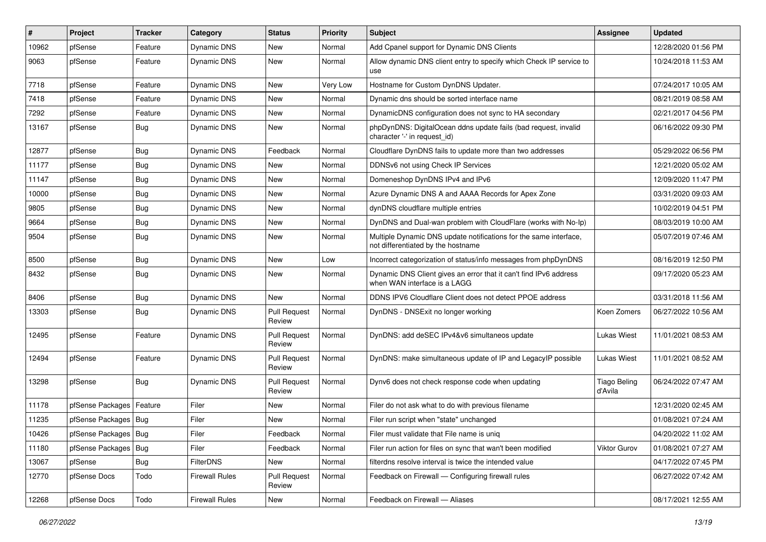| #     | Project                | <b>Tracker</b> | Category              | <b>Status</b>                 | <b>Priority</b> | <b>Subject</b>                                                                                          | <b>Assignee</b>                | <b>Updated</b>      |
|-------|------------------------|----------------|-----------------------|-------------------------------|-----------------|---------------------------------------------------------------------------------------------------------|--------------------------------|---------------------|
| 10962 | pfSense                | Feature        | Dynamic DNS           | New                           | Normal          | Add Cpanel support for Dynamic DNS Clients                                                              |                                | 12/28/2020 01:56 PM |
| 9063  | pfSense                | Feature        | Dynamic DNS           | New                           | Normal          | Allow dynamic DNS client entry to specify which Check IP service to<br>use                              |                                | 10/24/2018 11:53 AM |
| 7718  | pfSense                | Feature        | Dynamic DNS           | <b>New</b>                    | Very Low        | Hostname for Custom DynDNS Updater.                                                                     |                                | 07/24/2017 10:05 AM |
| 7418  | pfSense                | Feature        | Dynamic DNS           | <b>New</b>                    | Normal          | Dynamic dns should be sorted interface name                                                             |                                | 08/21/2019 08:58 AM |
| 7292  | pfSense                | Feature        | Dynamic DNS           | New                           | Normal          | DynamicDNS configuration does not sync to HA secondary                                                  |                                | 02/21/2017 04:56 PM |
| 13167 | pfSense                | Bug            | <b>Dynamic DNS</b>    | New                           | Normal          | phpDynDNS: DigitalOcean ddns update fails (bad request, invalid<br>character '-' in request id)         |                                | 06/16/2022 09:30 PM |
| 12877 | pfSense                | Bug            | Dynamic DNS           | Feedback                      | Normal          | Cloudflare DynDNS fails to update more than two addresses                                               |                                | 05/29/2022 06:56 PM |
| 11177 | pfSense                | Bug            | Dynamic DNS           | <b>New</b>                    | Normal          | DDNSv6 not using Check IP Services                                                                      |                                | 12/21/2020 05:02 AM |
| 11147 | pfSense                | Bug            | Dynamic DNS           | New                           | Normal          | Domeneshop DynDNS IPv4 and IPv6                                                                         |                                | 12/09/2020 11:47 PM |
| 10000 | pfSense                | Bug            | Dynamic DNS           | New                           | Normal          | Azure Dynamic DNS A and AAAA Records for Apex Zone                                                      |                                | 03/31/2020 09:03 AM |
| 9805  | pfSense                | <b>Bug</b>     | Dynamic DNS           | <b>New</b>                    | Normal          | dynDNS cloudflare multiple entries                                                                      |                                | 10/02/2019 04:51 PM |
| 9664  | pfSense                | <b>Bug</b>     | Dynamic DNS           | New                           | Normal          | DynDNS and Dual-wan problem with CloudFlare (works with No-Ip)                                          |                                | 08/03/2019 10:00 AM |
| 9504  | pfSense                | Bug            | Dynamic DNS           | New                           | Normal          | Multiple Dynamic DNS update notifications for the same interface,<br>not differentiated by the hostname |                                | 05/07/2019 07:46 AM |
| 8500  | pfSense                | Bug            | Dynamic DNS           | <b>New</b>                    | Low             | Incorrect categorization of status/info messages from phpDynDNS                                         |                                | 08/16/2019 12:50 PM |
| 8432  | pfSense                | Bug            | Dynamic DNS           | New                           | Normal          | Dynamic DNS Client gives an error that it can't find IPv6 address<br>when WAN interface is a LAGG       |                                | 09/17/2020 05:23 AM |
| 8406  | pfSense                | <b>Bug</b>     | Dynamic DNS           | <b>New</b>                    | Normal          | DDNS IPV6 Cloudflare Client does not detect PPOE address                                                |                                | 03/31/2018 11:56 AM |
| 13303 | pfSense                | Bug            | Dynamic DNS           | <b>Pull Request</b><br>Review | Normal          | DynDNS - DNSExit no longer working                                                                      | Koen Zomers                    | 06/27/2022 10:56 AM |
| 12495 | pfSense                | Feature        | Dynamic DNS           | <b>Pull Request</b><br>Review | Normal          | DynDNS: add deSEC IPv4&v6 simultaneos update                                                            | <b>Lukas Wiest</b>             | 11/01/2021 08:53 AM |
| 12494 | pfSense                | Feature        | Dynamic DNS           | <b>Pull Request</b><br>Review | Normal          | DynDNS: make simultaneous update of IP and LegacyIP possible                                            | <b>Lukas Wiest</b>             | 11/01/2021 08:52 AM |
| 13298 | pfSense                | Bug            | Dynamic DNS           | <b>Pull Request</b><br>Review | Normal          | Dynv6 does not check response code when updating                                                        | <b>Tiago Beling</b><br>d'Avila | 06/24/2022 07:47 AM |
| 11178 | pfSense Packages       | Feature        | Filer                 | <b>New</b>                    | Normal          | Filer do not ask what to do with previous filename                                                      |                                | 12/31/2020 02:45 AM |
| 11235 | pfSense Packages   Bug |                | Filer                 | New                           | Normal          | Filer run script when "state" unchanged                                                                 |                                | 01/08/2021 07:24 AM |
| 10426 | pfSense Packages   Bug |                | Filer                 | Feedback                      | Normal          | Filer must validate that File name is uniq                                                              |                                | 04/20/2022 11:02 AM |
| 11180 | pfSense Packages       | Bug            | Filer                 | Feedback                      | Normal          | Filer run action for files on sync that wan't been modified                                             | Viktor Gurov                   | 01/08/2021 07:27 AM |
| 13067 | pfSense                | <b>Bug</b>     | <b>FilterDNS</b>      | New                           | Normal          | filterdns resolve interval is twice the intended value                                                  |                                | 04/17/2022 07:45 PM |
| 12770 | pfSense Docs           | Todo           | <b>Firewall Rules</b> | <b>Pull Request</b><br>Review | Normal          | Feedback on Firewall - Configuring firewall rules                                                       |                                | 06/27/2022 07:42 AM |
| 12268 | pfSense Docs           | Todo           | <b>Firewall Rules</b> | New                           | Normal          | Feedback on Firewall - Aliases                                                                          |                                | 08/17/2021 12:55 AM |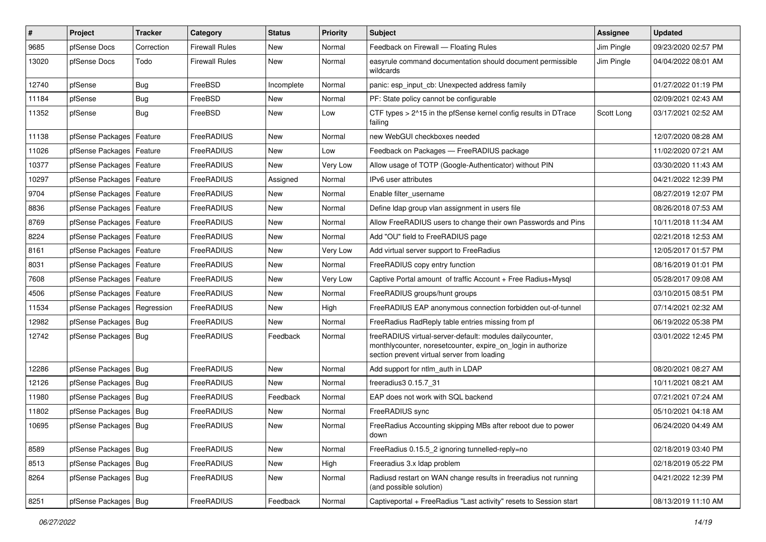| $\vert$ # | Project                       | <b>Tracker</b> | Category       | <b>Status</b> | <b>Priority</b> | Subject                                                                                                                                                                 | <b>Assignee</b> | <b>Updated</b>      |
|-----------|-------------------------------|----------------|----------------|---------------|-----------------|-------------------------------------------------------------------------------------------------------------------------------------------------------------------------|-----------------|---------------------|
| 9685      | pfSense Docs                  | Correction     | Firewall Rules | New           | Normal          | Feedback on Firewall - Floating Rules                                                                                                                                   | Jim Pingle      | 09/23/2020 02:57 PM |
| 13020     | pfSense Docs                  | Todo           | Firewall Rules | New           | Normal          | easyrule command documentation should document permissible<br>wildcards                                                                                                 | Jim Pingle      | 04/04/2022 08:01 AM |
| 12740     | pfSense                       | Bug            | FreeBSD        | Incomplete    | Normal          | panic: esp_input_cb: Unexpected address family                                                                                                                          |                 | 01/27/2022 01:19 PM |
| 11184     | pfSense                       | <b>Bug</b>     | FreeBSD        | New           | Normal          | PF: State policy cannot be configurable                                                                                                                                 |                 | 02/09/2021 02:43 AM |
| 11352     | pfSense                       | Bug            | FreeBSD        | New           | Low             | CTF types > 2^15 in the pfSense kernel config results in DTrace<br>failing                                                                                              | Scott Long      | 03/17/2021 02:52 AM |
| 11138     | pfSense Packages              | Feature        | FreeRADIUS     | <b>New</b>    | Normal          | new WebGUI checkboxes needed                                                                                                                                            |                 | 12/07/2020 08:28 AM |
| 11026     | pfSense Packages   Feature    |                | FreeRADIUS     | New           | Low             | Feedback on Packages - FreeRADIUS package                                                                                                                               |                 | 11/02/2020 07:21 AM |
| 10377     | pfSense Packages              | Feature        | FreeRADIUS     | New           | Very Low        | Allow usage of TOTP (Google-Authenticator) without PIN                                                                                                                  |                 | 03/30/2020 11:43 AM |
| 10297     | pfSense Packages              | Feature        | FreeRADIUS     | Assigned      | Normal          | IPv6 user attributes                                                                                                                                                    |                 | 04/21/2022 12:39 PM |
| 9704      | pfSense Packages   Feature    |                | FreeRADIUS     | New           | Normal          | Enable filter_username                                                                                                                                                  |                 | 08/27/2019 12:07 PM |
| 8836      | pfSense Packages   Feature    |                | FreeRADIUS     | <b>New</b>    | Normal          | Define Idap group vlan assignment in users file                                                                                                                         |                 | 08/26/2018 07:53 AM |
| 8769      | pfSense Packages              | Feature        | FreeRADIUS     | New           | Normal          | Allow FreeRADIUS users to change their own Passwords and Pins                                                                                                           |                 | 10/11/2018 11:34 AM |
| 8224      | pfSense Packages   Feature    |                | FreeRADIUS     | New           | Normal          | Add "OU" field to FreeRADIUS page                                                                                                                                       |                 | 02/21/2018 12:53 AM |
| 8161      | pfSense Packages              | Feature        | FreeRADIUS     | New           | Very Low        | Add virtual server support to FreeRadius                                                                                                                                |                 | 12/05/2017 01:57 PM |
| 8031      | pfSense Packages              | Feature        | FreeRADIUS     | <b>New</b>    | Normal          | FreeRADIUS copy entry function                                                                                                                                          |                 | 08/16/2019 01:01 PM |
| 7608      | pfSense Packages   Feature    |                | FreeRADIUS     | New           | Very Low        | Captive Portal amount of traffic Account + Free Radius+Mysql                                                                                                            |                 | 05/28/2017 09:08 AM |
| 4506      | pfSense Packages   Feature    |                | FreeRADIUS     | New           | Normal          | FreeRADIUS groups/hunt groups                                                                                                                                           |                 | 03/10/2015 08:51 PM |
| 11534     | pfSense Packages   Regression |                | FreeRADIUS     | New           | High            | FreeRADIUS EAP anonymous connection forbidden out-of-tunnel                                                                                                             |                 | 07/14/2021 02:32 AM |
| 12982     | pfSense Packages   Bug        |                | FreeRADIUS     | <b>New</b>    | Normal          | FreeRadius RadReply table entries missing from pf                                                                                                                       |                 | 06/19/2022 05:38 PM |
| 12742     | pfSense Packages   Bug        |                | FreeRADIUS     | Feedback      | Normal          | freeRADIUS virtual-server-default: modules dailycounter,<br>monthlycounter, noresetcounter, expire_on_login in authorize<br>section prevent virtual server from loading |                 | 03/01/2022 12:45 PM |
| 12286     | pfSense Packages   Bug        |                | FreeRADIUS     | <b>New</b>    | Normal          | Add support for ntlm auth in LDAP                                                                                                                                       |                 | 08/20/2021 08:27 AM |
| 12126     | pfSense Packages   Bug        |                | FreeRADIUS     | New           | Normal          | freeradius3 0.15.7 31                                                                                                                                                   |                 | 10/11/2021 08:21 AM |
| 11980     | pfSense Packages   Bug        |                | FreeRADIUS     | Feedback      | Normal          | EAP does not work with SQL backend                                                                                                                                      |                 | 07/21/2021 07:24 AM |
| 11802     | pfSense Packages   Bug        |                | FreeRADIUS     | New           | Normal          | FreeRADIUS sync                                                                                                                                                         |                 | 05/10/2021 04:18 AM |
| 10695     | pfSense Packages   Bug        |                | FreeRADIUS     | <b>New</b>    | Normal          | FreeRadius Accounting skipping MBs after reboot due to power<br>down                                                                                                    |                 | 06/24/2020 04:49 AM |
| 8589      | pfSense Packages   Bug        |                | FreeRADIUS     | New           | Normal          | FreeRadius 0.15.5_2 ignoring tunnelled-reply=no                                                                                                                         |                 | 02/18/2019 03:40 PM |
| 8513      | pfSense Packages   Bug        |                | FreeRADIUS     | New           | High            | Freeradius 3.x Idap problem                                                                                                                                             |                 | 02/18/2019 05:22 PM |
| 8264      | pfSense Packages   Bug        |                | FreeRADIUS     | New           | Normal          | Radiusd restart on WAN change results in freeradius not running<br>(and possible solution)                                                                              |                 | 04/21/2022 12:39 PM |
| 8251      | pfSense Packages   Bug        |                | FreeRADIUS     | Feedback      | Normal          | Captiveportal + FreeRadius "Last activity" resets to Session start                                                                                                      |                 | 08/13/2019 11:10 AM |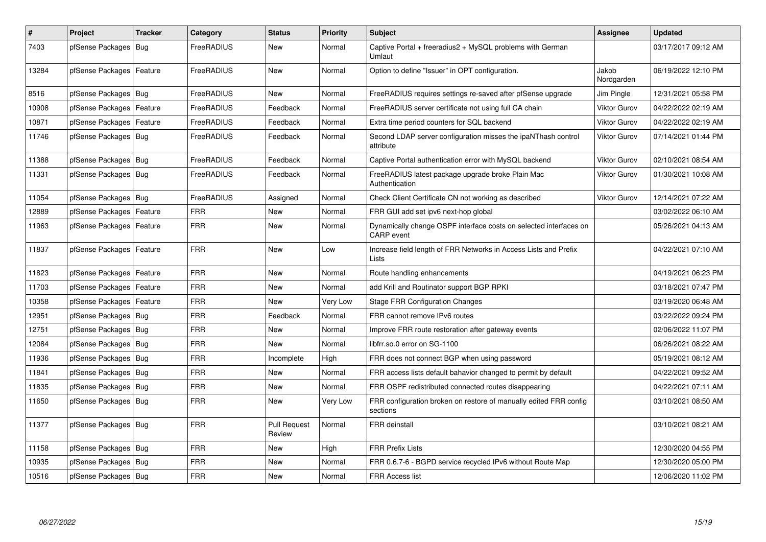| $\pmb{\#}$ | Project                    | <b>Tracker</b> | Category          | <b>Status</b>                 | <b>Priority</b> | <b>Subject</b>                                                                  | <b>Assignee</b>     | <b>Updated</b>      |
|------------|----------------------------|----------------|-------------------|-------------------------------|-----------------|---------------------------------------------------------------------------------|---------------------|---------------------|
| 7403       | pfSense Packages           | Bug            | FreeRADIUS        | New                           | Normal          | Captive Portal + freeradius2 + MySQL problems with German<br>Umlaut             |                     | 03/17/2017 09:12 AM |
| 13284      | pfSense Packages   Feature |                | FreeRADIUS        | New                           | Normal          | Option to define "Issuer" in OPT configuration.                                 | Jakob<br>Nordgarden | 06/19/2022 12:10 PM |
| 8516       | pfSense Packages   Bug     |                | <b>FreeRADIUS</b> | New                           | Normal          | FreeRADIUS requires settings re-saved after pfSense upgrade                     | Jim Pingle          | 12/31/2021 05:58 PM |
| 10908      | pfSense Packages           | Feature        | FreeRADIUS        | Feedback                      | Normal          | FreeRADIUS server certificate not using full CA chain                           | <b>Viktor Gurov</b> | 04/22/2022 02:19 AM |
| 10871      | pfSense Packages   Feature |                | FreeRADIUS        | Feedback                      | Normal          | Extra time period counters for SQL backend                                      | <b>Viktor Gurov</b> | 04/22/2022 02:19 AM |
| 11746      | pfSense Packages   Bug     |                | FreeRADIUS        | Feedback                      | Normal          | Second LDAP server configuration misses the ipaNThash control<br>attribute      | <b>Viktor Gurov</b> | 07/14/2021 01:44 PM |
| 11388      | pfSense Packages   Bug     |                | FreeRADIUS        | Feedback                      | Normal          | Captive Portal authentication error with MySQL backend                          | <b>Viktor Gurov</b> | 02/10/2021 08:54 AM |
| 11331      | pfSense Packages   Bug     |                | FreeRADIUS        | Feedback                      | Normal          | FreeRADIUS latest package upgrade broke Plain Mac<br>Authentication             | <b>Viktor Gurov</b> | 01/30/2021 10:08 AM |
| 11054      | pfSense Packages   Bug     |                | FreeRADIUS        | Assigned                      | Normal          | Check Client Certificate CN not working as described                            | <b>Viktor Gurov</b> | 12/14/2021 07:22 AM |
| 12889      | pfSense Packages           | Feature        | FRR               | New                           | Normal          | FRR GUI add set ipv6 next-hop global                                            |                     | 03/02/2022 06:10 AM |
| 11963      | pfSense Packages   Feature |                | FRR               | <b>New</b>                    | Normal          | Dynamically change OSPF interface costs on selected interfaces on<br>CARP event |                     | 05/26/2021 04:13 AM |
| 11837      | pfSense Packages   Feature |                | <b>FRR</b>        | <b>New</b>                    | Low             | Increase field length of FRR Networks in Access Lists and Prefix<br>Lists       |                     | 04/22/2021 07:10 AM |
| 11823      | pfSense Packages           | Feature        | FRR               | <b>New</b>                    | Normal          | Route handling enhancements                                                     |                     | 04/19/2021 06:23 PM |
| 11703      | pfSense Packages           | Feature        | FRR               | New                           | Normal          | add Krill and Routinator support BGP RPKI                                       |                     | 03/18/2021 07:47 PM |
| 10358      | pfSense Packages   Feature |                | <b>FRR</b>        | <b>New</b>                    | Very Low        | <b>Stage FRR Configuration Changes</b>                                          |                     | 03/19/2020 06:48 AM |
| 12951      | pfSense Packages   Bug     |                | FRR               | Feedback                      | Normal          | FRR cannot remove IPv6 routes                                                   |                     | 03/22/2022 09:24 PM |
| 12751      | pfSense Packages   Bug     |                | <b>FRR</b>        | New                           | Normal          | Improve FRR route restoration after gateway events                              |                     | 02/06/2022 11:07 PM |
| 12084      | pfSense Packages   Bug     |                | <b>FRR</b>        | New                           | Normal          | libfrr.so.0 error on SG-1100                                                    |                     | 06/26/2021 08:22 AM |
| 11936      | pfSense Packages   Bug     |                | FRR               | Incomplete                    | High            | FRR does not connect BGP when using password                                    |                     | 05/19/2021 08:12 AM |
| 11841      | pfSense Packages   Bug     |                | <b>FRR</b>        | New                           | Normal          | FRR access lists default bahavior changed to permit by default                  |                     | 04/22/2021 09:52 AM |
| 11835      | pfSense Packages   Bug     |                | <b>FRR</b>        | New                           | Normal          | FRR OSPF redistributed connected routes disappearing                            |                     | 04/22/2021 07:11 AM |
| 11650      | pfSense Packages   Bug     |                | FRR               | New                           | Very Low        | FRR configuration broken on restore of manually edited FRR config<br>sections   |                     | 03/10/2021 08:50 AM |
| 11377      | pfSense Packages   Bug     |                | FRR               | <b>Pull Request</b><br>Review | Normal          | <b>FRR</b> deinstall                                                            |                     | 03/10/2021 08:21 AM |
| 11158      | pfSense Packages   Bug     |                | <b>FRR</b>        | New                           | High            | <b>FRR Prefix Lists</b>                                                         |                     | 12/30/2020 04:55 PM |
| 10935      | pfSense Packages   Bug     |                | FRR               | New                           | Normal          | FRR 0.6.7-6 - BGPD service recycled IPv6 without Route Map                      |                     | 12/30/2020 05:00 PM |
| 10516      | pfSense Packages   Bug     |                | FRR               | New                           | Normal          | <b>FRR Access list</b>                                                          |                     | 12/06/2020 11:02 PM |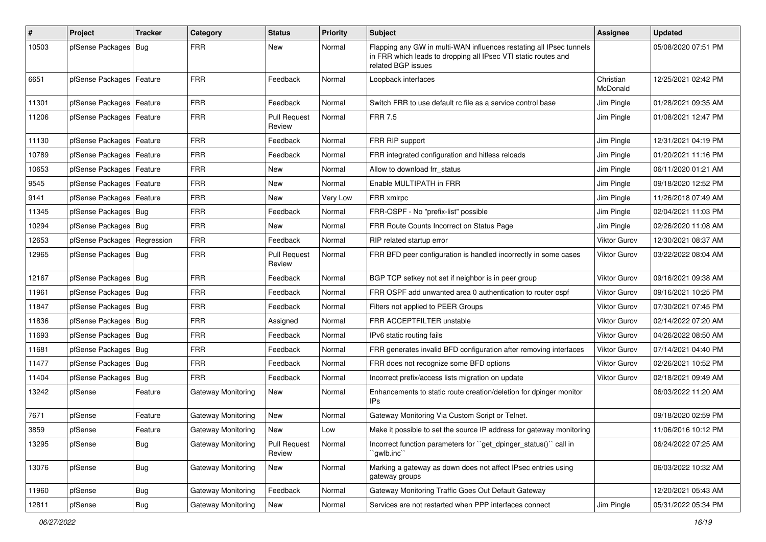| #     | Project                    | <b>Tracker</b> | Category                  | <b>Status</b>                 | <b>Priority</b> | <b>Subject</b>                                                                                                                                              | Assignee              | <b>Updated</b>      |
|-------|----------------------------|----------------|---------------------------|-------------------------------|-----------------|-------------------------------------------------------------------------------------------------------------------------------------------------------------|-----------------------|---------------------|
| 10503 | pfSense Packages   Bug     |                | <b>FRR</b>                | New                           | Normal          | Flapping any GW in multi-WAN influences restating all IPsec tunnels<br>in FRR which leads to dropping all IPsec VTI static routes and<br>related BGP issues |                       | 05/08/2020 07:51 PM |
| 6651  | pfSense Packages   Feature |                | <b>FRR</b>                | Feedback                      | Normal          | Loopback interfaces                                                                                                                                         | Christian<br>McDonald | 12/25/2021 02:42 PM |
| 11301 | pfSense Packages   Feature |                | <b>FRR</b>                | Feedback                      | Normal          | Switch FRR to use default rc file as a service control base                                                                                                 | Jim Pingle            | 01/28/2021 09:35 AM |
| 11206 | pfSense Packages   Feature |                | <b>FRR</b>                | <b>Pull Request</b><br>Review | Normal          | <b>FRR 7.5</b>                                                                                                                                              | Jim Pingle            | 01/08/2021 12:47 PM |
| 11130 | pfSense Packages   Feature |                | <b>FRR</b>                | Feedback                      | Normal          | FRR RIP support                                                                                                                                             | Jim Pingle            | 12/31/2021 04:19 PM |
| 10789 | pfSense Packages   Feature |                | <b>FRR</b>                | Feedback                      | Normal          | FRR integrated configuration and hitless reloads                                                                                                            | Jim Pingle            | 01/20/2021 11:16 PM |
| 10653 | pfSense Packages   Feature |                | <b>FRR</b>                | New                           | Normal          | Allow to download frr status                                                                                                                                | Jim Pingle            | 06/11/2020 01:21 AM |
| 9545  | pfSense Packages   Feature |                | <b>FRR</b>                | New                           | Normal          | Enable MULTIPATH in FRR                                                                                                                                     | Jim Pingle            | 09/18/2020 12:52 PM |
| 9141  | pfSense Packages   Feature |                | <b>FRR</b>                | New                           | Very Low        | FRR xmlrpc                                                                                                                                                  | Jim Pingle            | 11/26/2018 07:49 AM |
| 11345 | pfSense Packages   Bug     |                | <b>FRR</b>                | Feedback                      | Normal          | FRR-OSPF - No "prefix-list" possible                                                                                                                        | Jim Pingle            | 02/04/2021 11:03 PM |
| 10294 | pfSense Packages   Bug     |                | <b>FRR</b>                | New                           | Normal          | FRR Route Counts Incorrect on Status Page                                                                                                                   | Jim Pingle            | 02/26/2020 11:08 AM |
| 12653 | pfSense Packages           | Regression     | <b>FRR</b>                | Feedback                      | Normal          | RIP related startup error                                                                                                                                   | Viktor Gurov          | 12/30/2021 08:37 AM |
| 12965 | pfSense Packages   Bug     |                | <b>FRR</b>                | <b>Pull Request</b><br>Review | Normal          | FRR BFD peer configuration is handled incorrectly in some cases                                                                                             | Viktor Gurov          | 03/22/2022 08:04 AM |
| 12167 | pfSense Packages   Bug     |                | <b>FRR</b>                | Feedback                      | Normal          | BGP TCP setkey not set if neighbor is in peer group                                                                                                         | Viktor Gurov          | 09/16/2021 09:38 AM |
| 11961 | pfSense Packages   Bug     |                | <b>FRR</b>                | Feedback                      | Normal          | FRR OSPF add unwanted area 0 authentication to router ospf                                                                                                  | <b>Viktor Gurov</b>   | 09/16/2021 10:25 PM |
| 11847 | pfSense Packages   Bug     |                | <b>FRR</b>                | Feedback                      | Normal          | Filters not applied to PEER Groups                                                                                                                          | Viktor Gurov          | 07/30/2021 07:45 PM |
| 11836 | pfSense Packages   Bug     |                | <b>FRR</b>                | Assigned                      | Normal          | FRR ACCEPTFILTER unstable                                                                                                                                   | <b>Viktor Gurov</b>   | 02/14/2022 07:20 AM |
| 11693 | pfSense Packages   Bug     |                | <b>FRR</b>                | Feedback                      | Normal          | IPv6 static routing fails                                                                                                                                   | <b>Viktor Gurov</b>   | 04/26/2022 08:50 AM |
| 11681 | pfSense Packages   Bug     |                | <b>FRR</b>                | Feedback                      | Normal          | FRR generates invalid BFD configuration after removing interfaces                                                                                           | <b>Viktor Gurov</b>   | 07/14/2021 04:40 PM |
| 11477 | pfSense Packages   Bug     |                | <b>FRR</b>                | Feedback                      | Normal          | FRR does not recognize some BFD options                                                                                                                     | Viktor Gurov          | 02/26/2021 10:52 PM |
| 11404 | pfSense Packages           | Bug            | <b>FRR</b>                | Feedback                      | Normal          | Incorrect prefix/access lists migration on update                                                                                                           | Viktor Gurov          | 02/18/2021 09:49 AM |
| 13242 | pfSense                    | Feature        | <b>Gateway Monitoring</b> | New                           | Normal          | Enhancements to static route creation/deletion for dpinger monitor<br>IP <sub>s</sub>                                                                       |                       | 06/03/2022 11:20 AM |
| 7671  | pfSense                    | Feature        | Gateway Monitoring        | New                           | Normal          | Gateway Monitoring Via Custom Script or Telnet.                                                                                                             |                       | 09/18/2020 02:59 PM |
| 3859  | pfSense                    | Feature        | Gateway Monitoring        | New                           | Low             | Make it possible to set the source IP address for gateway monitoring                                                                                        |                       | 11/06/2016 10:12 PM |
| 13295 | pfSense                    | <b>Bug</b>     | <b>Gateway Monitoring</b> | <b>Pull Request</b><br>Review | Normal          | Incorrect function parameters for "get_dpinger_status()" call in<br>`qwlb.inc``                                                                             |                       | 06/24/2022 07:25 AM |
| 13076 | pfSense                    | <b>Bug</b>     | Gateway Monitoring        | New                           | Normal          | Marking a gateway as down does not affect IPsec entries using<br>gateway groups                                                                             |                       | 06/03/2022 10:32 AM |
| 11960 | pfSense                    | <b>Bug</b>     | Gateway Monitoring        | Feedback                      | Normal          | Gateway Monitoring Traffic Goes Out Default Gateway                                                                                                         |                       | 12/20/2021 05:43 AM |
| 12811 | pfSense                    | Bug            | Gateway Monitoring        | New                           | Normal          | Services are not restarted when PPP interfaces connect                                                                                                      | Jim Pingle            | 05/31/2022 05:34 PM |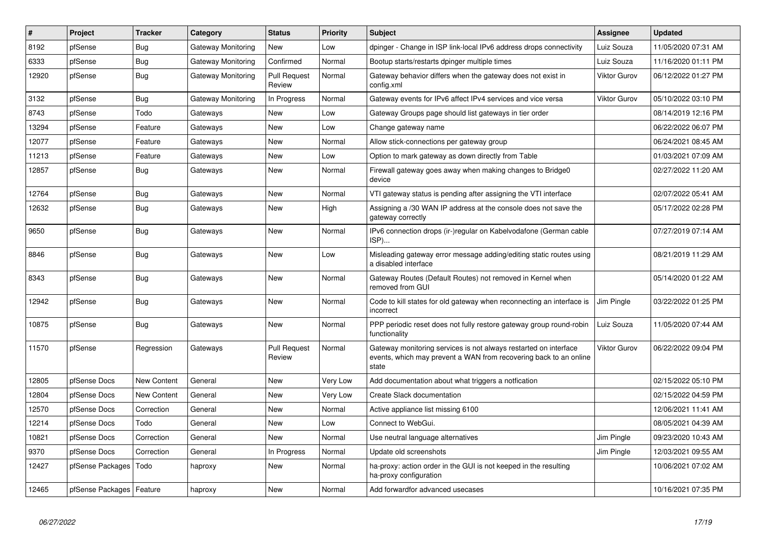| $\pmb{\#}$ | Project                    | <b>Tracker</b> | Category           | <b>Status</b>                 | <b>Priority</b> | <b>Subject</b>                                                                                                                                 | Assignee            | <b>Updated</b>      |
|------------|----------------------------|----------------|--------------------|-------------------------------|-----------------|------------------------------------------------------------------------------------------------------------------------------------------------|---------------------|---------------------|
| 8192       | pfSense                    | Bug            | Gateway Monitoring | <b>New</b>                    | Low             | dpinger - Change in ISP link-local IPv6 address drops connectivity                                                                             | Luiz Souza          | 11/05/2020 07:31 AM |
| 6333       | pfSense                    | Bug            | Gateway Monitoring | Confirmed                     | Normal          | Bootup starts/restarts dpinger multiple times                                                                                                  | Luiz Souza          | 11/16/2020 01:11 PM |
| 12920      | pfSense                    | Bug            | Gateway Monitoring | <b>Pull Request</b><br>Review | Normal          | Gateway behavior differs when the gateway does not exist in<br>config.xml                                                                      | <b>Viktor Gurov</b> | 06/12/2022 01:27 PM |
| 3132       | pfSense                    | <b>Bug</b>     | Gateway Monitoring | In Progress                   | Normal          | Gateway events for IPv6 affect IPv4 services and vice versa                                                                                    | Viktor Gurov        | 05/10/2022 03:10 PM |
| 8743       | pfSense                    | Todo           | Gateways           | New                           | Low             | Gateway Groups page should list gateways in tier order                                                                                         |                     | 08/14/2019 12:16 PM |
| 13294      | pfSense                    | Feature        | Gateways           | <b>New</b>                    | Low             | Change gateway name                                                                                                                            |                     | 06/22/2022 06:07 PM |
| 12077      | pfSense                    | Feature        | Gateways           | <b>New</b>                    | Normal          | Allow stick-connections per gateway group                                                                                                      |                     | 06/24/2021 08:45 AM |
| 11213      | pfSense                    | Feature        | Gateways           | New                           | Low             | Option to mark gateway as down directly from Table                                                                                             |                     | 01/03/2021 07:09 AM |
| 12857      | pfSense                    | Bug            | Gateways           | New                           | Normal          | Firewall gateway goes away when making changes to Bridge0<br>device                                                                            |                     | 02/27/2022 11:20 AM |
| 12764      | pfSense                    | Bug            | Gateways           | <b>New</b>                    | Normal          | VTI gateway status is pending after assigning the VTI interface                                                                                |                     | 02/07/2022 05:41 AM |
| 12632      | pfSense                    | Bug            | Gateways           | <b>New</b>                    | High            | Assigning a /30 WAN IP address at the console does not save the<br>gateway correctly                                                           |                     | 05/17/2022 02:28 PM |
| 9650       | pfSense                    | Bug            | Gateways           | <b>New</b>                    | Normal          | IPv6 connection drops (ir-)regular on Kabelvodafone (German cable<br>ISP)                                                                      |                     | 07/27/2019 07:14 AM |
| 8846       | pfSense                    | <b>Bug</b>     | Gateways           | New                           | Low             | Misleading gateway error message adding/editing static routes using<br>a disabled interface                                                    |                     | 08/21/2019 11:29 AM |
| 8343       | pfSense                    | <b>Bug</b>     | Gateways           | New                           | Normal          | Gateway Routes (Default Routes) not removed in Kernel when<br>removed from GUI                                                                 |                     | 05/14/2020 01:22 AM |
| 12942      | pfSense                    | Bug            | Gateways           | New                           | Normal          | Code to kill states for old gateway when reconnecting an interface is<br>incorrect                                                             | Jim Pingle          | 03/22/2022 01:25 PM |
| 10875      | pfSense                    | <b>Bug</b>     | Gateways           | <b>New</b>                    | Normal          | PPP periodic reset does not fully restore gateway group round-robin<br>functionality                                                           | Luiz Souza          | 11/05/2020 07:44 AM |
| 11570      | pfSense                    | Regression     | Gateways           | <b>Pull Request</b><br>Review | Normal          | Gateway monitoring services is not always restarted on interface<br>events, which may prevent a WAN from recovering back to an online<br>state | <b>Viktor Gurov</b> | 06/22/2022 09:04 PM |
| 12805      | pfSense Docs               | New Content    | General            | New                           | Very Low        | Add documentation about what triggers a notfication                                                                                            |                     | 02/15/2022 05:10 PM |
| 12804      | pfSense Docs               | New Content    | General            | New                           | Very Low        | Create Slack documentation                                                                                                                     |                     | 02/15/2022 04:59 PM |
| 12570      | pfSense Docs               | Correction     | General            | New                           | Normal          | Active appliance list missing 6100                                                                                                             |                     | 12/06/2021 11:41 AM |
| 12214      | pfSense Docs               | Todo           | General            | New                           | Low             | Connect to WebGui.                                                                                                                             |                     | 08/05/2021 04:39 AM |
| 10821      | pfSense Docs               | Correction     | General            | <b>New</b>                    | Normal          | Use neutral language alternatives                                                                                                              | Jim Pingle          | 09/23/2020 10:43 AM |
| 9370       | pfSense Docs               | Correction     | General            | In Progress                   | Normal          | Update old screenshots                                                                                                                         | Jim Pingle          | 12/03/2021 09:55 AM |
| 12427      | pfSense Packages           | Todo           | haproxy            | New                           | Normal          | ha-proxy: action order in the GUI is not keeped in the resulting<br>ha-proxy configuration                                                     |                     | 10/06/2021 07:02 AM |
| 12465      | pfSense Packages   Feature |                | haproxy            | New                           | Normal          | Add forwardfor advanced usecases                                                                                                               |                     | 10/16/2021 07:35 PM |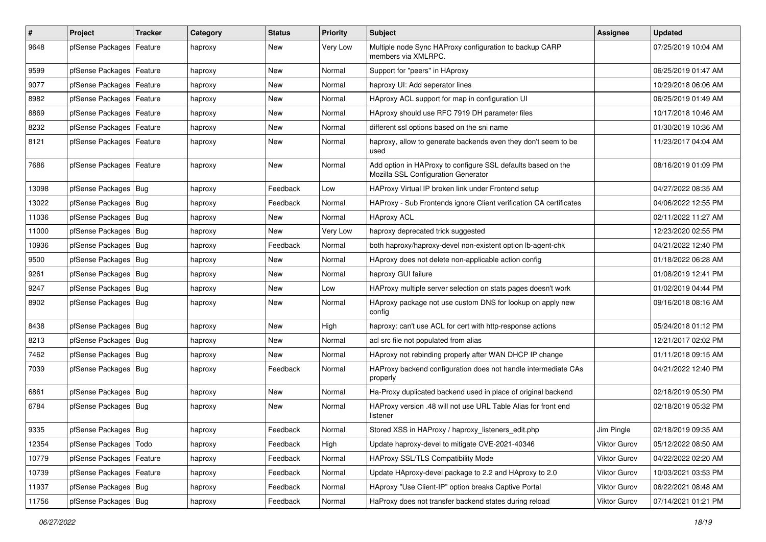| #     | Project                    | <b>Tracker</b> | Category | <b>Status</b> | <b>Priority</b> | <b>Subject</b>                                                                                      | <b>Assignee</b> | <b>Updated</b>      |
|-------|----------------------------|----------------|----------|---------------|-----------------|-----------------------------------------------------------------------------------------------------|-----------------|---------------------|
| 9648  | pfSense Packages           | Feature        | haproxy  | New           | Very Low        | Multiple node Sync HAProxy configuration to backup CARP<br>members via XMLRPC.                      |                 | 07/25/2019 10:04 AM |
| 9599  | pfSense Packages   Feature |                | haproxy  | New           | Normal          | Support for "peers" in HAproxy                                                                      |                 | 06/25/2019 01:47 AM |
| 9077  | pfSense Packages   Feature |                | haproxy  | <b>New</b>    | Normal          | haproxy UI: Add seperator lines                                                                     |                 | 10/29/2018 06:06 AM |
| 8982  | pfSense Packages   Feature |                | haproxy  | <b>New</b>    | Normal          | HAproxy ACL support for map in configuration UI                                                     |                 | 06/25/2019 01:49 AM |
| 8869  | pfSense Packages           | Feature        | haproxy  | New           | Normal          | HAproxy should use RFC 7919 DH parameter files                                                      |                 | 10/17/2018 10:46 AM |
| 8232  | pfSense Packages   Feature |                | haproxy  | New           | Normal          | different ssl options based on the sni name                                                         |                 | 01/30/2019 10:36 AM |
| 8121  | pfSense Packages   Feature |                | haproxy  | New           | Normal          | haproxy, allow to generate backends even they don't seem to be<br>used                              |                 | 11/23/2017 04:04 AM |
| 7686  | pfSense Packages   Feature |                | haproxy  | New           | Normal          | Add option in HAProxy to configure SSL defaults based on the<br>Mozilla SSL Configuration Generator |                 | 08/16/2019 01:09 PM |
| 13098 | pfSense Packages   Bug     |                | haproxy  | Feedback      | Low             | HAProxy Virtual IP broken link under Frontend setup                                                 |                 | 04/27/2022 08:35 AM |
| 13022 | pfSense Packages   Bug     |                | haproxy  | Feedback      | Normal          | HAProxy - Sub Frontends ignore Client verification CA certificates                                  |                 | 04/06/2022 12:55 PM |
| 11036 | pfSense Packages   Bug     |                | haproxy  | New           | Normal          | <b>HAproxy ACL</b>                                                                                  |                 | 02/11/2022 11:27 AM |
| 11000 | pfSense Packages Bug       |                | haproxy  | New           | Very Low        | haproxy deprecated trick suggested                                                                  |                 | 12/23/2020 02:55 PM |
| 10936 | pfSense Packages   Bug     |                | haproxy  | Feedback      | Normal          | both haproxy/haproxy-devel non-existent option lb-agent-chk                                         |                 | 04/21/2022 12:40 PM |
| 9500  | pfSense Packages   Bug     |                | haproxy  | New           | Normal          | HAproxy does not delete non-applicable action config                                                |                 | 01/18/2022 06:28 AM |
| 9261  | pfSense Packages   Bug     |                | haproxy  | New           | Normal          | haproxy GUI failure                                                                                 |                 | 01/08/2019 12:41 PM |
| 9247  | pfSense Packages   Bug     |                | haproxy  | New           | Low             | HAProxy multiple server selection on stats pages doesn't work                                       |                 | 01/02/2019 04:44 PM |
| 8902  | pfSense Packages   Bug     |                | haproxy  | New           | Normal          | HAproxy package not use custom DNS for lookup on apply new<br>config                                |                 | 09/16/2018 08:16 AM |
| 8438  | pfSense Packages   Bug     |                | haproxy  | New           | High            | haproxy: can't use ACL for cert with http-response actions                                          |                 | 05/24/2018 01:12 PM |
| 8213  | pfSense Packages   Bug     |                | haproxy  | <b>New</b>    | Normal          | acl src file not populated from alias                                                               |                 | 12/21/2017 02:02 PM |
| 7462  | pfSense Packages   Bug     |                | haproxy  | New           | Normal          | HAproxy not rebinding properly after WAN DHCP IP change                                             |                 | 01/11/2018 09:15 AM |
| 7039  | pfSense Packages   Bug     |                | haproxy  | Feedback      | Normal          | HAProxy backend configuration does not handle intermediate CAs<br>properly                          |                 | 04/21/2022 12:40 PM |
| 6861  | pfSense Packages   Bug     |                | haproxy  | New           | Normal          | Ha-Proxy duplicated backend used in place of original backend                                       |                 | 02/18/2019 05:30 PM |
| 6784  | pfSense Packages   Bug     |                | haproxy  | New           | Normal          | HAProxy version .48 will not use URL Table Alias for front end<br>listener                          |                 | 02/18/2019 05:32 PM |
| 9335  | pfSense Packages   Bug     |                | haproxy  | Feedback      | Normal          | Stored XSS in HAProxy / haproxy_listeners_edit.php                                                  | Jim Pingle      | 02/18/2019 09:35 AM |
| 12354 | pfSense Packages   Todo    |                | haproxy  | Feedback      | High            | Update haproxy-devel to mitigate CVE-2021-40346                                                     | Viktor Gurov    | 05/12/2022 08:50 AM |
| 10779 | pfSense Packages           | Feature        | haproxy  | Feedback      | Normal          | HAProxy SSL/TLS Compatibility Mode                                                                  | Viktor Gurov    | 04/22/2022 02:20 AM |
| 10739 | pfSense Packages   Feature |                | haproxy  | Feedback      | Normal          | Update HAproxy-devel package to 2.2 and HAproxy to 2.0                                              | Viktor Gurov    | 10/03/2021 03:53 PM |
| 11937 | pfSense Packages   Bug     |                | haproxy  | Feedback      | Normal          | HAproxy "Use Client-IP" option breaks Captive Portal                                                | Viktor Gurov    | 06/22/2021 08:48 AM |
| 11756 | pfSense Packages   Bug     |                | haproxy  | Feedback      | Normal          | HaProxy does not transfer backend states during reload                                              | Viktor Gurov    | 07/14/2021 01:21 PM |